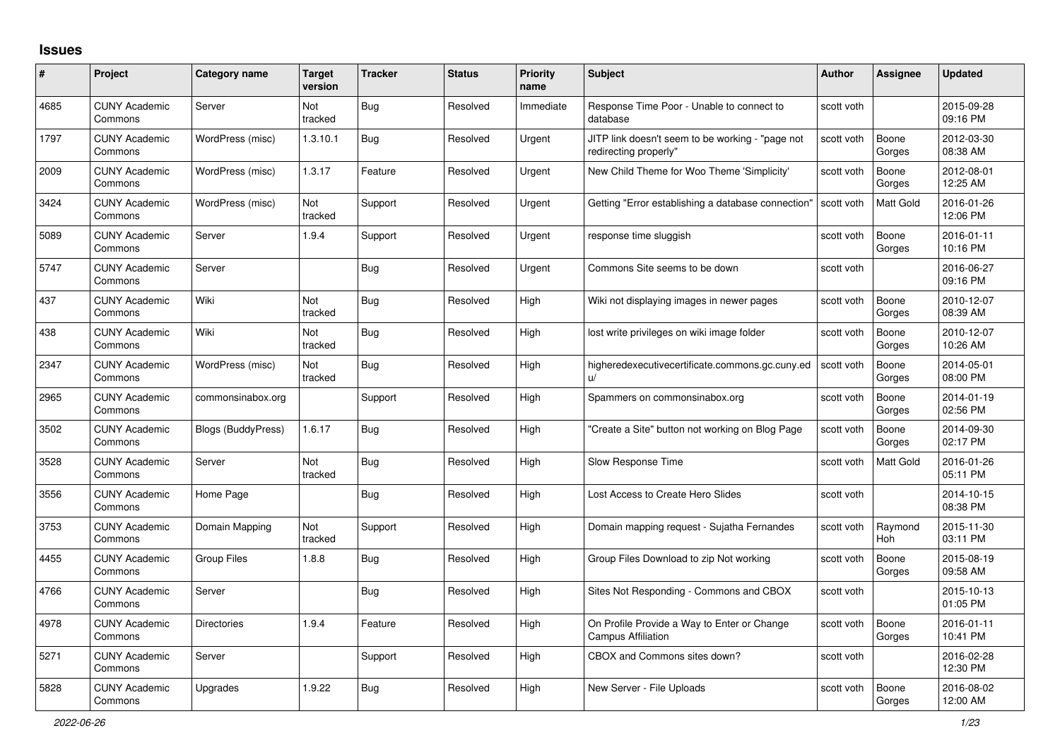## **Issues**

| #    | Project                         | Category name      | <b>Target</b><br>version | <b>Tracker</b> | <b>Status</b> | <b>Priority</b><br>name | <b>Subject</b>                                                            | Author     | <b>Assignee</b>       | <b>Updated</b>         |
|------|---------------------------------|--------------------|--------------------------|----------------|---------------|-------------------------|---------------------------------------------------------------------------|------------|-----------------------|------------------------|
| 4685 | <b>CUNY Academic</b><br>Commons | Server             | Not<br>tracked           | Bug            | Resolved      | Immediate               | Response Time Poor - Unable to connect to<br>database                     | scott voth |                       | 2015-09-28<br>09:16 PM |
| 1797 | <b>CUNY Academic</b><br>Commons | WordPress (misc)   | 1.3.10.1                 | <b>Bug</b>     | Resolved      | Urgent                  | JITP link doesn't seem to be working - "page not<br>redirecting properly" | scott voth | Boone<br>Gorges       | 2012-03-30<br>08:38 AM |
| 2009 | <b>CUNY Academic</b><br>Commons | WordPress (misc)   | 1.3.17                   | Feature        | Resolved      | Urgent                  | New Child Theme for Woo Theme 'Simplicity'                                | scott voth | Boone<br>Gorges       | 2012-08-01<br>12:25 AM |
| 3424 | <b>CUNY Academic</b><br>Commons | WordPress (misc)   | Not<br>tracked           | Support        | Resolved      | Urgent                  | Getting "Error establishing a database connection"                        | scott voth | Matt Gold             | 2016-01-26<br>12:06 PM |
| 5089 | <b>CUNY Academic</b><br>Commons | Server             | 1.9.4                    | Support        | Resolved      | Urgent                  | response time sluggish                                                    | scott voth | Boone<br>Gorges       | 2016-01-11<br>10:16 PM |
| 5747 | <b>CUNY Academic</b><br>Commons | Server             |                          | Bug            | Resolved      | Urgent                  | Commons Site seems to be down                                             | scott voth |                       | 2016-06-27<br>09:16 PM |
| 437  | <b>CUNY Academic</b><br>Commons | Wiki               | Not<br>tracked           | <b>Bug</b>     | Resolved      | High                    | Wiki not displaying images in newer pages                                 | scott voth | Boone<br>Gorges       | 2010-12-07<br>08:39 AM |
| 438  | <b>CUNY Academic</b><br>Commons | Wiki               | <b>Not</b><br>tracked    | Bug            | Resolved      | Hiah                    | lost write privileges on wiki image folder                                | scott voth | Boone<br>Gorges       | 2010-12-07<br>10:26 AM |
| 2347 | <b>CUNY Academic</b><br>Commons | WordPress (misc)   | Not<br>tracked           | <b>Bug</b>     | Resolved      | High                    | higheredexecutivecertificate.commons.gc.cuny.ed<br>$\mathsf{u}/$          | scott voth | Boone<br>Gorges       | 2014-05-01<br>08:00 PM |
| 2965 | <b>CUNY Academic</b><br>Commons | commonsinabox.org  |                          | Support        | Resolved      | High                    | Spammers on commonsinabox.org                                             | scott voth | Boone<br>Gorges       | 2014-01-19<br>02:56 PM |
| 3502 | <b>CUNY Academic</b><br>Commons | Blogs (BuddyPress) | 1.6.17                   | Bug            | Resolved      | High                    | "Create a Site" button not working on Blog Page                           | scott voth | Boone<br>Gorges       | 2014-09-30<br>02:17 PM |
| 3528 | <b>CUNY Academic</b><br>Commons | Server             | <b>Not</b><br>tracked    | Bug            | Resolved      | High                    | Slow Response Time                                                        | scott voth | Matt Gold             | 2016-01-26<br>05:11 PM |
| 3556 | <b>CUNY Academic</b><br>Commons | Home Page          |                          | Bug            | Resolved      | High                    | Lost Access to Create Hero Slides                                         | scott voth |                       | 2014-10-15<br>08:38 PM |
| 3753 | <b>CUNY Academic</b><br>Commons | Domain Mapping     | Not<br>tracked           | Support        | Resolved      | High                    | Domain mapping request - Sujatha Fernandes                                | scott voth | Raymond<br><b>Hoh</b> | 2015-11-30<br>03:11 PM |
| 4455 | <b>CUNY Academic</b><br>Commons | <b>Group Files</b> | 1.8.8                    | <b>Bug</b>     | Resolved      | High                    | Group Files Download to zip Not working                                   | scott voth | Boone<br>Gorges       | 2015-08-19<br>09:58 AM |
| 4766 | <b>CUNY Academic</b><br>Commons | Server             |                          | <b>Bug</b>     | Resolved      | High                    | Sites Not Responding - Commons and CBOX                                   | scott voth |                       | 2015-10-13<br>01:05 PM |
| 4978 | <b>CUNY Academic</b><br>Commons | <b>Directories</b> | 1.9.4                    | Feature        | Resolved      | High                    | On Profile Provide a Way to Enter or Change<br><b>Campus Affiliation</b>  | scott voth | Boone<br>Gorges       | 2016-01-11<br>10:41 PM |
| 5271 | <b>CUNY Academic</b><br>Commons | Server             |                          | Support        | Resolved      | High                    | CBOX and Commons sites down?                                              | scott voth |                       | 2016-02-28<br>12:30 PM |
| 5828 | <b>CUNY Academic</b><br>Commons | Upgrades           | 1.9.22                   | <b>Bug</b>     | Resolved      | High                    | New Server - File Uploads                                                 | scott voth | Boone<br>Gorges       | 2016-08-02<br>12:00 AM |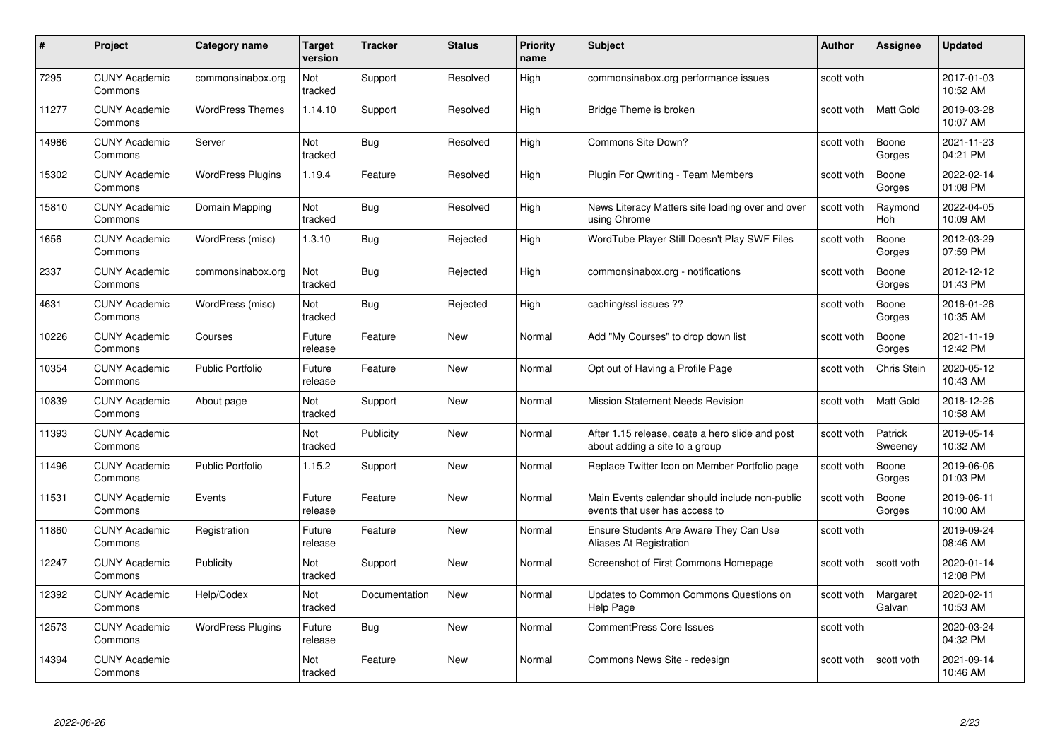| #     | Project                         | Category name            | <b>Target</b><br>version | <b>Tracker</b> | <b>Status</b> | <b>Priority</b><br>name | <b>Subject</b>                                                                    | <b>Author</b> | Assignee           | <b>Updated</b>         |
|-------|---------------------------------|--------------------------|--------------------------|----------------|---------------|-------------------------|-----------------------------------------------------------------------------------|---------------|--------------------|------------------------|
| 7295  | <b>CUNY Academic</b><br>Commons | commonsinabox.org        | Not<br>tracked           | Support        | Resolved      | High                    | commonsinabox.org performance issues                                              | scott voth    |                    | 2017-01-03<br>10:52 AM |
| 11277 | <b>CUNY Academic</b><br>Commons | <b>WordPress Themes</b>  | 1.14.10                  | Support        | Resolved      | High                    | Bridge Theme is broken                                                            | scott voth    | Matt Gold          | 2019-03-28<br>10:07 AM |
| 14986 | <b>CUNY Academic</b><br>Commons | Server                   | Not<br>tracked           | <b>Bug</b>     | Resolved      | High                    | Commons Site Down?                                                                | scott voth    | Boone<br>Gorges    | 2021-11-23<br>04:21 PM |
| 15302 | <b>CUNY Academic</b><br>Commons | <b>WordPress Plugins</b> | 1.19.4                   | Feature        | Resolved      | High                    | <b>Plugin For Qwriting - Team Members</b>                                         | scott voth    | Boone<br>Gorges    | 2022-02-14<br>01:08 PM |
| 15810 | <b>CUNY Academic</b><br>Commons | Domain Mapping           | Not<br>tracked           | <b>Bug</b>     | Resolved      | High                    | News Literacy Matters site loading over and over<br>using Chrome                  | scott voth    | Raymond<br>Hoh     | 2022-04-05<br>10:09 AM |
| 1656  | <b>CUNY Academic</b><br>Commons | WordPress (misc)         | 1.3.10                   | Bug            | Rejected      | High                    | WordTube Player Still Doesn't Play SWF Files                                      | scott voth    | Boone<br>Gorges    | 2012-03-29<br>07:59 PM |
| 2337  | <b>CUNY Academic</b><br>Commons | commonsinabox.org        | Not<br>tracked           | <b>Bug</b>     | Rejected      | High                    | commonsinabox.org - notifications                                                 | scott voth    | Boone<br>Gorges    | 2012-12-12<br>01:43 PM |
| 4631  | <b>CUNY Academic</b><br>Commons | WordPress (misc)         | Not<br>tracked           | Bug            | Rejected      | High                    | caching/ssl issues ??                                                             | scott voth    | Boone<br>Gorges    | 2016-01-26<br>10:35 AM |
| 10226 | <b>CUNY Academic</b><br>Commons | Courses                  | Future<br>release        | Feature        | New           | Normal                  | Add "My Courses" to drop down list                                                | scott voth    | Boone<br>Gorges    | 2021-11-19<br>12:42 PM |
| 10354 | <b>CUNY Academic</b><br>Commons | <b>Public Portfolio</b>  | Future<br>release        | Feature        | New           | Normal                  | Opt out of Having a Profile Page                                                  | scott voth    | <b>Chris Stein</b> | 2020-05-12<br>10:43 AM |
| 10839 | <b>CUNY Academic</b><br>Commons | About page               | Not<br>tracked           | Support        | New           | Normal                  | <b>Mission Statement Needs Revision</b>                                           | scott voth    | Matt Gold          | 2018-12-26<br>10:58 AM |
| 11393 | <b>CUNY Academic</b><br>Commons |                          | Not<br>tracked           | Publicity      | New           | Normal                  | After 1.15 release, ceate a hero slide and post<br>about adding a site to a group | scott voth    | Patrick<br>Sweeney | 2019-05-14<br>10:32 AM |
| 11496 | <b>CUNY Academic</b><br>Commons | <b>Public Portfolio</b>  | 1.15.2                   | Support        | New           | Normal                  | Replace Twitter Icon on Member Portfolio page                                     | scott voth    | Boone<br>Gorges    | 2019-06-06<br>01:03 PM |
| 11531 | <b>CUNY Academic</b><br>Commons | Events                   | Future<br>release        | Feature        | New           | Normal                  | Main Events calendar should include non-public<br>events that user has access to  | scott voth    | Boone<br>Gorges    | 2019-06-11<br>10:00 AM |
| 11860 | <b>CUNY Academic</b><br>Commons | Registration             | Future<br>release        | Feature        | <b>New</b>    | Normal                  | Ensure Students Are Aware They Can Use<br>Aliases At Registration                 | scott voth    |                    | 2019-09-24<br>08:46 AM |
| 12247 | <b>CUNY Academic</b><br>Commons | Publicity                | Not<br>tracked           | Support        | New           | Normal                  | Screenshot of First Commons Homepage                                              | scott voth    | scott voth         | 2020-01-14<br>12:08 PM |
| 12392 | <b>CUNY Academic</b><br>Commons | Help/Codex               | Not<br>tracked           | Documentation  | New           | Normal                  | Updates to Common Commons Questions on<br>Help Page                               | scott voth    | Margaret<br>Galvan | 2020-02-11<br>10:53 AM |
| 12573 | <b>CUNY Academic</b><br>Commons | <b>WordPress Plugins</b> | Future<br>release        | Bug            | <b>New</b>    | Normal                  | <b>CommentPress Core Issues</b>                                                   | scott voth    |                    | 2020-03-24<br>04:32 PM |
| 14394 | <b>CUNY Academic</b><br>Commons |                          | Not<br>tracked           | Feature        | <b>New</b>    | Normal                  | Commons News Site - redesign                                                      | scott voth    | scott voth         | 2021-09-14<br>10:46 AM |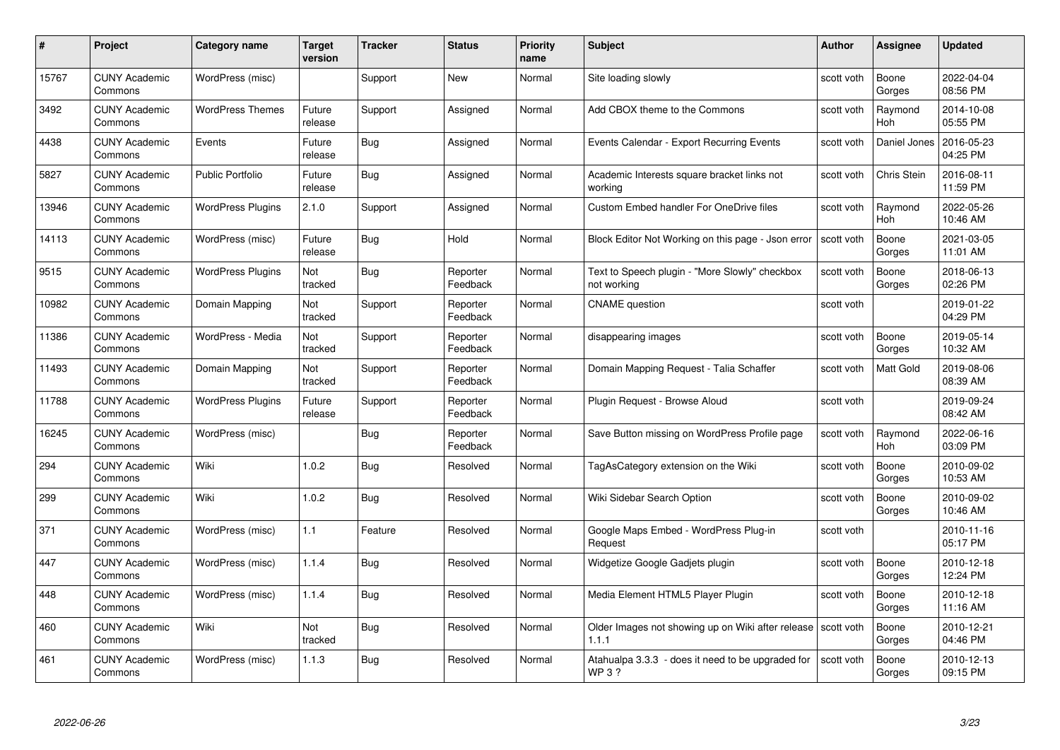| #     | Project                         | <b>Category name</b>     | Target<br>version | <b>Tracker</b> | <b>Status</b>        | <b>Priority</b><br>name | <b>Subject</b>                                                          | <b>Author</b> | <b>Assignee</b>       | <b>Updated</b>         |
|-------|---------------------------------|--------------------------|-------------------|----------------|----------------------|-------------------------|-------------------------------------------------------------------------|---------------|-----------------------|------------------------|
| 15767 | <b>CUNY Academic</b><br>Commons | WordPress (misc)         |                   | Support        | <b>New</b>           | Normal                  | Site loading slowly                                                     | scott voth    | Boone<br>Gorges       | 2022-04-04<br>08:56 PM |
| 3492  | <b>CUNY Academic</b><br>Commons | <b>WordPress Themes</b>  | Future<br>release | Support        | Assigned             | Normal                  | Add CBOX theme to the Commons                                           | scott voth    | Raymond<br><b>Hoh</b> | 2014-10-08<br>05:55 PM |
| 4438  | <b>CUNY Academic</b><br>Commons | Events                   | Future<br>release | Bug            | Assigned             | Normal                  | Events Calendar - Export Recurring Events                               | scott voth    | Daniel Jones          | 2016-05-23<br>04:25 PM |
| 5827  | <b>CUNY Academic</b><br>Commons | Public Portfolio         | Future<br>release | Bug            | Assigned             | Normal                  | Academic Interests square bracket links not<br>workina                  | scott voth    | Chris Stein           | 2016-08-11<br>11:59 PM |
| 13946 | <b>CUNY Academic</b><br>Commons | <b>WordPress Plugins</b> | 2.1.0             | Support        | Assigned             | Normal                  | <b>Custom Embed handler For OneDrive files</b>                          | scott voth    | Raymond<br>Hoh        | 2022-05-26<br>10:46 AM |
| 14113 | <b>CUNY Academic</b><br>Commons | WordPress (misc)         | Future<br>release | <b>Bug</b>     | Hold                 | Normal                  | Block Editor Not Working on this page - Json error                      | scott voth    | Boone<br>Gorges       | 2021-03-05<br>11:01 AM |
| 9515  | <b>CUNY Academic</b><br>Commons | <b>WordPress Plugins</b> | Not<br>tracked    | Bug            | Reporter<br>Feedback | Normal                  | Text to Speech plugin - "More Slowly" checkbox<br>not working           | scott voth    | Boone<br>Gorges       | 2018-06-13<br>02:26 PM |
| 10982 | <b>CUNY Academic</b><br>Commons | Domain Mapping           | Not<br>tracked    | Support        | Reporter<br>Feedback | Normal                  | <b>CNAME</b> question                                                   | scott voth    |                       | 2019-01-22<br>04:29 PM |
| 11386 | <b>CUNY Academic</b><br>Commons | WordPress - Media        | Not<br>tracked    | Support        | Reporter<br>Feedback | Normal                  | disappearing images                                                     | scott voth    | Boone<br>Gorges       | 2019-05-14<br>10:32 AM |
| 11493 | <b>CUNY Academic</b><br>Commons | Domain Mapping           | Not<br>tracked    | Support        | Reporter<br>Feedback | Normal                  | Domain Mapping Request - Talia Schaffer                                 | scott voth    | <b>Matt Gold</b>      | 2019-08-06<br>08:39 AM |
| 11788 | CUNY Academic<br>Commons        | <b>WordPress Plugins</b> | Future<br>release | Support        | Reporter<br>Feedback | Normal                  | Plugin Request - Browse Aloud                                           | scott voth    |                       | 2019-09-24<br>08:42 AM |
| 16245 | <b>CUNY Academic</b><br>Commons | WordPress (misc)         |                   | Bug            | Reporter<br>Feedback | Normal                  | Save Button missing on WordPress Profile page                           | scott voth    | Raymond<br>Hoh        | 2022-06-16<br>03:09 PM |
| 294   | <b>CUNY Academic</b><br>Commons | Wiki                     | 1.0.2             | Bug            | Resolved             | Normal                  | TagAsCategory extension on the Wiki                                     | scott voth    | Boone<br>Gorges       | 2010-09-02<br>10:53 AM |
| 299   | <b>CUNY Academic</b><br>Commons | Wiki                     | 1.0.2             | <b>Bug</b>     | Resolved             | Normal                  | Wiki Sidebar Search Option                                              | scott voth    | Boone<br>Gorges       | 2010-09-02<br>10:46 AM |
| 371   | <b>CUNY Academic</b><br>Commons | WordPress (misc)         | 1.1               | Feature        | Resolved             | Normal                  | Google Maps Embed - WordPress Plug-in<br>Request                        | scott voth    |                       | 2010-11-16<br>05:17 PM |
| 447   | <b>CUNY Academic</b><br>Commons | WordPress (misc)         | 1.1.4             | Bug            | Resolved             | Normal                  | Widgetize Google Gadjets plugin                                         | scott voth    | Boone<br>Gorges       | 2010-12-18<br>12:24 PM |
| 448   | <b>CUNY Academic</b><br>Commons | WordPress (misc)         | 1.1.4             | <b>Bug</b>     | Resolved             | Normal                  | Media Element HTML5 Player Plugin                                       | scott voth    | Boone<br>Gorges       | 2010-12-18<br>11:16 AM |
| 460   | <b>CUNY Academic</b><br>Commons | Wiki                     | Not<br>tracked    | <b>Bug</b>     | Resolved             | Normal                  | Older Images not showing up on Wiki after release   scott voth<br>1.1.1 |               | Boone<br>Gorges       | 2010-12-21<br>04:46 PM |
| 461   | CUNY Academic<br>Commons        | WordPress (misc)         | 1.1.3             | <b>Bug</b>     | Resolved             | Normal                  | Atahualpa 3.3.3 - does it need to be upgraded for<br><b>WP3?</b>        | scott voth    | Boone<br>Gorges       | 2010-12-13<br>09:15 PM |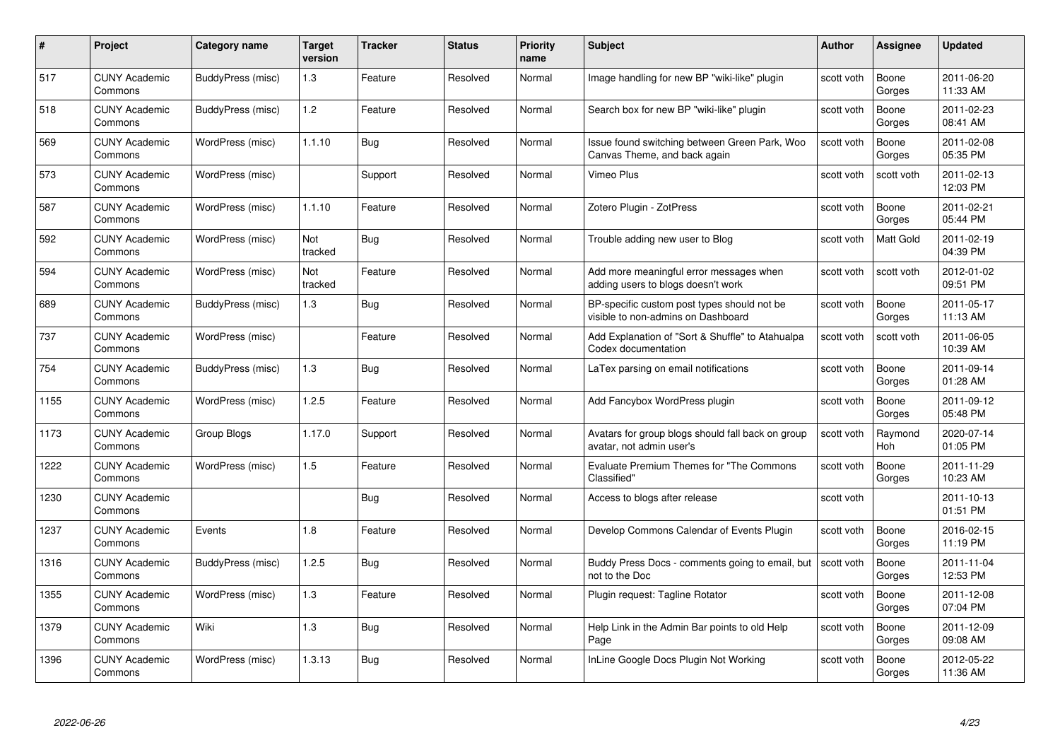| #    | Project                         | <b>Category name</b> | Target<br>version | <b>Tracker</b> | <b>Status</b> | <b>Priority</b><br>name | <b>Subject</b>                                                                     | Author     | Assignee         | <b>Updated</b>         |
|------|---------------------------------|----------------------|-------------------|----------------|---------------|-------------------------|------------------------------------------------------------------------------------|------------|------------------|------------------------|
| 517  | <b>CUNY Academic</b><br>Commons | BuddyPress (misc)    | 1.3               | Feature        | Resolved      | Normal                  | Image handling for new BP "wiki-like" plugin                                       | scott voth | Boone<br>Gorges  | 2011-06-20<br>11:33 AM |
| 518  | <b>CUNY Academic</b><br>Commons | BuddyPress (misc)    | 1.2               | Feature        | Resolved      | Normal                  | Search box for new BP "wiki-like" plugin                                           | scott voth | Boone<br>Gorges  | 2011-02-23<br>08:41 AM |
| 569  | <b>CUNY Academic</b><br>Commons | WordPress (misc)     | 1.1.10            | <b>Bug</b>     | Resolved      | Normal                  | Issue found switching between Green Park, Woo<br>Canvas Theme, and back again      | scott voth | Boone<br>Gorges  | 2011-02-08<br>05:35 PM |
| 573  | <b>CUNY Academic</b><br>Commons | WordPress (misc)     |                   | Support        | Resolved      | Normal                  | Vimeo Plus                                                                         | scott voth | scott voth       | 2011-02-13<br>12:03 PM |
| 587  | <b>CUNY Academic</b><br>Commons | WordPress (misc)     | 1.1.10            | Feature        | Resolved      | Normal                  | Zotero Plugin - ZotPress                                                           | scott voth | Boone<br>Gorges  | 2011-02-21<br>05:44 PM |
| 592  | <b>CUNY Academic</b><br>Commons | WordPress (misc)     | Not<br>tracked    | <b>Bug</b>     | Resolved      | Normal                  | Trouble adding new user to Blog                                                    | scott voth | <b>Matt Gold</b> | 2011-02-19<br>04:39 PM |
| 594  | <b>CUNY Academic</b><br>Commons | WordPress (misc)     | Not<br>tracked    | Feature        | Resolved      | Normal                  | Add more meaningful error messages when<br>adding users to blogs doesn't work      | scott voth | scott voth       | 2012-01-02<br>09:51 PM |
| 689  | <b>CUNY Academic</b><br>Commons | BuddyPress (misc)    | $1.3$             | Bug            | Resolved      | Normal                  | BP-specific custom post types should not be.<br>visible to non-admins on Dashboard | scott voth | Boone<br>Gorges  | 2011-05-17<br>11:13 AM |
| 737  | <b>CUNY Academic</b><br>Commons | WordPress (misc)     |                   | Feature        | Resolved      | Normal                  | Add Explanation of "Sort & Shuffle" to Atahualpa<br>Codex documentation            | scott voth | scott voth       | 2011-06-05<br>10:39 AM |
| 754  | <b>CUNY Academic</b><br>Commons | BuddyPress (misc)    | 1.3               | <b>Bug</b>     | Resolved      | Normal                  | LaTex parsing on email notifications                                               | scott voth | Boone<br>Gorges  | 2011-09-14<br>01:28 AM |
| 1155 | <b>CUNY Academic</b><br>Commons | WordPress (misc)     | 1.2.5             | Feature        | Resolved      | Normal                  | Add Fancybox WordPress plugin                                                      | scott voth | Boone<br>Gorges  | 2011-09-12<br>05:48 PM |
| 1173 | <b>CUNY Academic</b><br>Commons | Group Blogs          | 1.17.0            | Support        | Resolved      | Normal                  | Avatars for group blogs should fall back on group<br>avatar, not admin user's      | scott voth | Raymond<br>Hoh   | 2020-07-14<br>01:05 PM |
| 1222 | <b>CUNY Academic</b><br>Commons | WordPress (misc)     | 1.5               | Feature        | Resolved      | Normal                  | Evaluate Premium Themes for "The Commons<br>Classified"                            | scott voth | Boone<br>Gorges  | 2011-11-29<br>10:23 AM |
| 1230 | <b>CUNY Academic</b><br>Commons |                      |                   | <b>Bug</b>     | Resolved      | Normal                  | Access to blogs after release                                                      | scott voth |                  | 2011-10-13<br>01:51 PM |
| 1237 | <b>CUNY Academic</b><br>Commons | Events               | 1.8               | Feature        | Resolved      | Normal                  | Develop Commons Calendar of Events Plugin                                          | scott voth | Boone<br>Gorges  | 2016-02-15<br>11:19 PM |
| 1316 | <b>CUNY Academic</b><br>Commons | BuddyPress (misc)    | 1.2.5             | <b>Bug</b>     | Resolved      | Normal                  | Buddy Press Docs - comments going to email, but<br>not to the Doc                  | scott voth | Boone<br>Gorges  | 2011-11-04<br>12:53 PM |
| 1355 | <b>CUNY Academic</b><br>Commons | WordPress (misc)     | 1.3               | Feature        | Resolved      | Normal                  | Plugin request: Tagline Rotator                                                    | scott voth | Boone<br>Gorges  | 2011-12-08<br>07:04 PM |
| 1379 | <b>CUNY Academic</b><br>Commons | Wiki                 | $1.3$             | <b>Bug</b>     | Resolved      | Normal                  | Help Link in the Admin Bar points to old Help<br>Page                              | scott voth | Boone<br>Gorges  | 2011-12-09<br>09:08 AM |
| 1396 | <b>CUNY Academic</b><br>Commons | WordPress (misc)     | 1.3.13            | <b>Bug</b>     | Resolved      | Normal                  | InLine Google Docs Plugin Not Working                                              | scott voth | Boone<br>Gorges  | 2012-05-22<br>11:36 AM |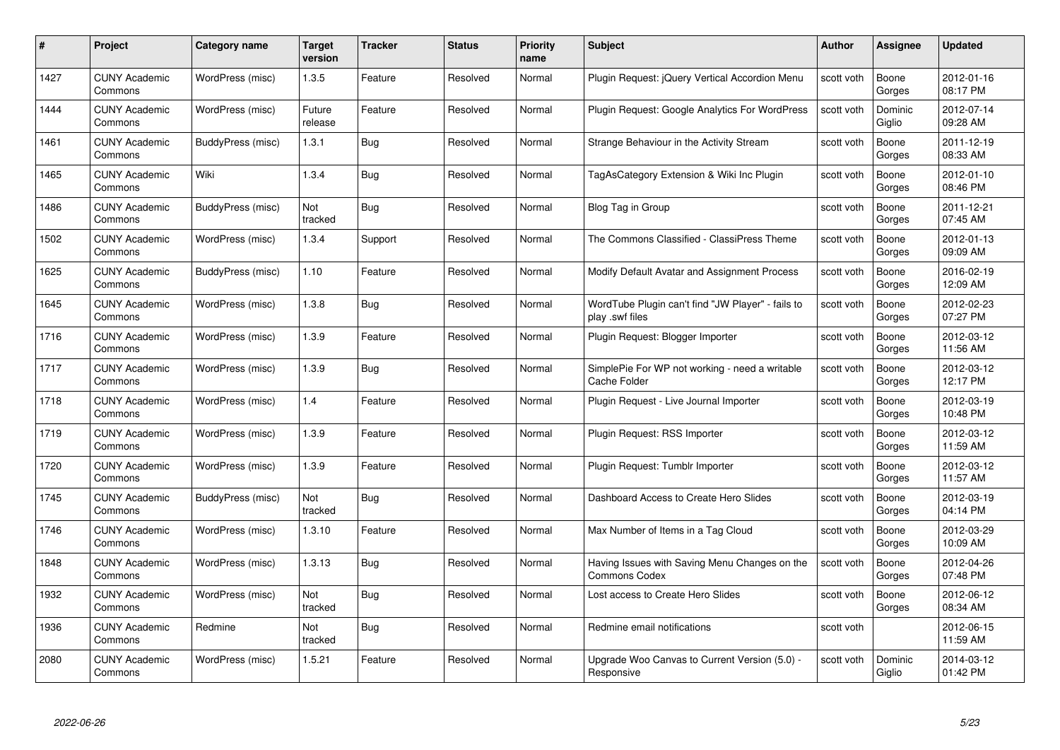| #    | Project                         | <b>Category name</b> | Target<br>version     | <b>Tracker</b> | <b>Status</b> | <b>Priority</b><br>name | <b>Subject</b>                                                        | <b>Author</b> | <b>Assignee</b>   | <b>Updated</b>         |
|------|---------------------------------|----------------------|-----------------------|----------------|---------------|-------------------------|-----------------------------------------------------------------------|---------------|-------------------|------------------------|
| 1427 | <b>CUNY Academic</b><br>Commons | WordPress (misc)     | 1.3.5                 | Feature        | Resolved      | Normal                  | Plugin Request: jQuery Vertical Accordion Menu                        | scott voth    | Boone<br>Gorges   | 2012-01-16<br>08:17 PM |
| 1444 | <b>CUNY Academic</b><br>Commons | WordPress (misc)     | Future<br>release     | Feature        | Resolved      | Normal                  | Plugin Request: Google Analytics For WordPress                        | scott voth    | Dominic<br>Giglio | 2012-07-14<br>09:28 AM |
| 1461 | <b>CUNY Academic</b><br>Commons | BuddyPress (misc)    | 1.3.1                 | Bug            | Resolved      | Normal                  | Strange Behaviour in the Activity Stream                              | scott voth    | Boone<br>Gorges   | 2011-12-19<br>08:33 AM |
| 1465 | <b>CUNY Academic</b><br>Commons | Wiki                 | 1.3.4                 | <b>Bug</b>     | Resolved      | Normal                  | TagAsCategory Extension & Wiki Inc Plugin                             | scott voth    | Boone<br>Gorges   | 2012-01-10<br>08:46 PM |
| 1486 | <b>CUNY Academic</b><br>Commons | BuddyPress (misc)    | <b>Not</b><br>tracked | <b>Bug</b>     | Resolved      | Normal                  | Blog Tag in Group                                                     | scott voth    | Boone<br>Gorges   | 2011-12-21<br>07:45 AM |
| 1502 | <b>CUNY Academic</b><br>Commons | WordPress (misc)     | 1.3.4                 | Support        | Resolved      | Normal                  | The Commons Classified - ClassiPress Theme                            | scott voth    | Boone<br>Gorges   | 2012-01-13<br>09:09 AM |
| 1625 | <b>CUNY Academic</b><br>Commons | BuddyPress (misc)    | 1.10                  | Feature        | Resolved      | Normal                  | Modify Default Avatar and Assignment Process                          | scott voth    | Boone<br>Gorges   | 2016-02-19<br>12:09 AM |
| 1645 | <b>CUNY Academic</b><br>Commons | WordPress (misc)     | 1.3.8                 | Bug            | Resolved      | Normal                  | WordTube Plugin can't find "JW Player" - fails to<br>play .swf files  | scott voth    | Boone<br>Gorges   | 2012-02-23<br>07:27 PM |
| 1716 | <b>CUNY Academic</b><br>Commons | WordPress (misc)     | 1.3.9                 | Feature        | Resolved      | Normal                  | Plugin Request: Blogger Importer                                      | scott voth    | Boone<br>Gorges   | 2012-03-12<br>11:56 AM |
| 1717 | <b>CUNY Academic</b><br>Commons | WordPress (misc)     | 1.3.9                 | <b>Bug</b>     | Resolved      | Normal                  | SimplePie For WP not working - need a writable<br>Cache Folder        | scott voth    | Boone<br>Gorges   | 2012-03-12<br>12:17 PM |
| 1718 | CUNY Academic<br>Commons        | WordPress (misc)     | 1.4                   | Feature        | Resolved      | Normal                  | Plugin Request - Live Journal Importer                                | scott voth    | Boone<br>Gorges   | 2012-03-19<br>10:48 PM |
| 1719 | <b>CUNY Academic</b><br>Commons | WordPress (misc)     | 1.3.9                 | Feature        | Resolved      | Normal                  | Plugin Request: RSS Importer                                          | scott voth    | Boone<br>Gorges   | 2012-03-12<br>11:59 AM |
| 1720 | <b>CUNY Academic</b><br>Commons | WordPress (misc)     | 1.3.9                 | Feature        | Resolved      | Normal                  | Plugin Request: Tumblr Importer                                       | scott voth    | Boone<br>Gorges   | 2012-03-12<br>11:57 AM |
| 1745 | <b>CUNY Academic</b><br>Commons | BuddyPress (misc)    | Not<br>tracked        | <b>Bug</b>     | Resolved      | Normal                  | Dashboard Access to Create Hero Slides                                | scott voth    | Boone<br>Gorges   | 2012-03-19<br>04:14 PM |
| 1746 | <b>CUNY Academic</b><br>Commons | WordPress (misc)     | 1.3.10                | Feature        | Resolved      | Normal                  | Max Number of Items in a Tag Cloud                                    | scott voth    | Boone<br>Gorges   | 2012-03-29<br>10:09 AM |
| 1848 | <b>CUNY Academic</b><br>Commons | WordPress (misc)     | 1.3.13                | <b>Bug</b>     | Resolved      | Normal                  | Having Issues with Saving Menu Changes on the<br><b>Commons Codex</b> | scott voth    | Boone<br>Gorges   | 2012-04-26<br>07:48 PM |
| 1932 | <b>CUNY Academic</b><br>Commons | WordPress (misc)     | Not<br>tracked        | Bug            | Resolved      | Normal                  | Lost access to Create Hero Slides                                     | scott voth    | Boone<br>Gorges   | 2012-06-12<br>08:34 AM |
| 1936 | <b>CUNY Academic</b><br>Commons | Redmine              | Not<br>tracked        | <b>Bug</b>     | Resolved      | Normal                  | Redmine email notifications                                           | scott voth    |                   | 2012-06-15<br>11:59 AM |
| 2080 | CUNY Academic<br>Commons        | WordPress (misc)     | 1.5.21                | Feature        | Resolved      | Normal                  | Upgrade Woo Canvas to Current Version (5.0) -<br>Responsive           | scott voth    | Dominic<br>Giglio | 2014-03-12<br>01:42 PM |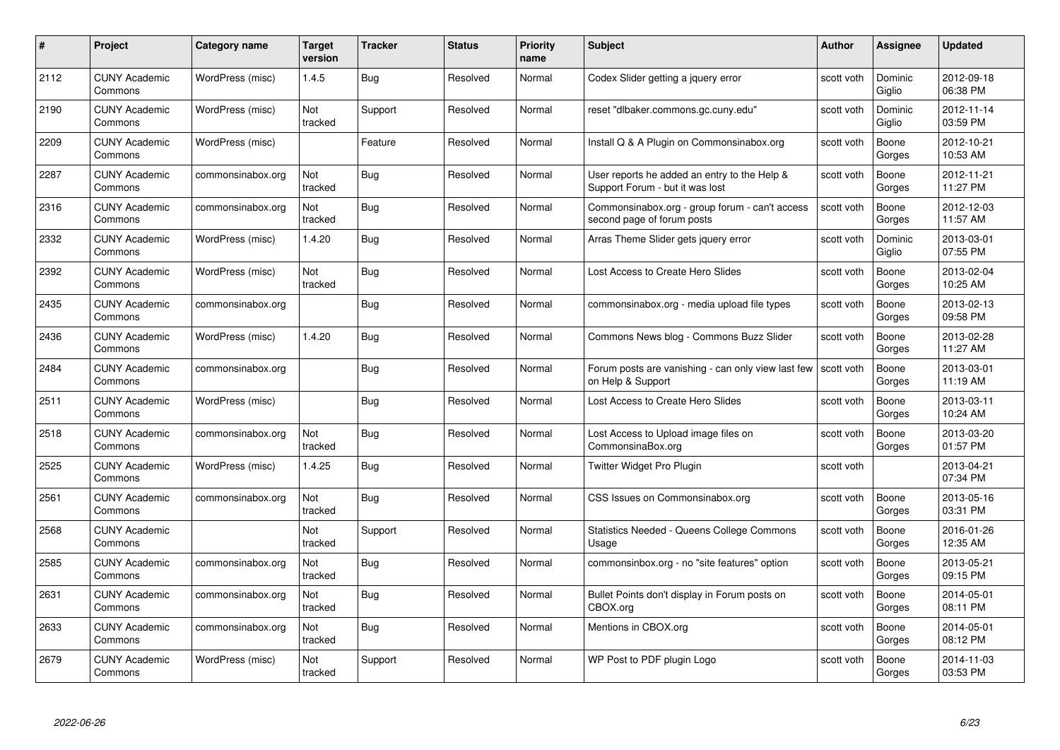| #    | Project                         | <b>Category name</b> | Target<br>version | <b>Tracker</b> | <b>Status</b> | <b>Priority</b><br>name | <b>Subject</b>                                                                  | Author     | Assignee          | <b>Updated</b>         |
|------|---------------------------------|----------------------|-------------------|----------------|---------------|-------------------------|---------------------------------------------------------------------------------|------------|-------------------|------------------------|
| 2112 | <b>CUNY Academic</b><br>Commons | WordPress (misc)     | 1.4.5             | Bug            | Resolved      | Normal                  | Codex Slider getting a jquery error                                             | scott voth | Dominic<br>Giglio | 2012-09-18<br>06:38 PM |
| 2190 | <b>CUNY Academic</b><br>Commons | WordPress (misc)     | Not<br>tracked    | Support        | Resolved      | Normal                  | reset "dlbaker.commons.gc.cuny.edu"                                             | scott voth | Dominic<br>Giglio | 2012-11-14<br>03:59 PM |
| 2209 | <b>CUNY Academic</b><br>Commons | WordPress (misc)     |                   | Feature        | Resolved      | Normal                  | Install Q & A Plugin on Commonsinabox.org                                       | scott voth | Boone<br>Gorges   | 2012-10-21<br>10:53 AM |
| 2287 | <b>CUNY Academic</b><br>Commons | commonsinabox.org    | Not<br>tracked    | Bug            | Resolved      | Normal                  | User reports he added an entry to the Help &<br>Support Forum - but it was lost | scott voth | Boone<br>Gorges   | 2012-11-21<br>11:27 PM |
| 2316 | <b>CUNY Academic</b><br>Commons | commonsinabox.org    | Not<br>tracked    | Bug            | Resolved      | Normal                  | Commonsinabox.org - group forum - can't access<br>second page of forum posts    | scott voth | Boone<br>Gorges   | 2012-12-03<br>11:57 AM |
| 2332 | <b>CUNY Academic</b><br>Commons | WordPress (misc)     | 1.4.20            | <b>Bug</b>     | Resolved      | Normal                  | Arras Theme Slider gets jquery error                                            | scott voth | Dominic<br>Giglio | 2013-03-01<br>07:55 PM |
| 2392 | <b>CUNY Academic</b><br>Commons | WordPress (misc)     | Not<br>tracked    | <b>Bug</b>     | Resolved      | Normal                  | Lost Access to Create Hero Slides                                               | scott voth | Boone<br>Gorges   | 2013-02-04<br>10:25 AM |
| 2435 | <b>CUNY Academic</b><br>Commons | commonsinabox.org    |                   | Bug            | Resolved      | Normal                  | commonsinabox.org - media upload file types                                     | scott voth | Boone<br>Gorges   | 2013-02-13<br>09:58 PM |
| 2436 | <b>CUNY Academic</b><br>Commons | WordPress (misc)     | 1.4.20            | Bug            | Resolved      | Normal                  | Commons News blog - Commons Buzz Slider                                         | scott voth | Boone<br>Gorges   | 2013-02-28<br>11:27 AM |
| 2484 | <b>CUNY Academic</b><br>Commons | commonsinabox.org    |                   | <b>Bug</b>     | Resolved      | Normal                  | Forum posts are vanishing - can only view last few<br>on Help & Support         | scott voth | Boone<br>Gorges   | 2013-03-01<br>11:19 AM |
| 2511 | <b>CUNY Academic</b><br>Commons | WordPress (misc)     |                   | <b>Bug</b>     | Resolved      | Normal                  | Lost Access to Create Hero Slides                                               | scott voth | Boone<br>Gorges   | 2013-03-11<br>10:24 AM |
| 2518 | <b>CUNY Academic</b><br>Commons | commonsinabox.org    | Not<br>tracked    | Bug            | Resolved      | Normal                  | Lost Access to Upload image files on<br>CommonsinaBox.org                       | scott voth | Boone<br>Gorges   | 2013-03-20<br>01:57 PM |
| 2525 | CUNY Academic<br>Commons        | WordPress (misc)     | 1.4.25            | <b>Bug</b>     | Resolved      | Normal                  | Twitter Widget Pro Plugin                                                       | scott voth |                   | 2013-04-21<br>07:34 PM |
| 2561 | <b>CUNY Academic</b><br>Commons | commonsinabox.org    | Not<br>tracked    | <b>Bug</b>     | Resolved      | Normal                  | CSS Issues on Commonsinabox.org                                                 | scott voth | Boone<br>Gorges   | 2013-05-16<br>03:31 PM |
| 2568 | <b>CUNY Academic</b><br>Commons |                      | Not<br>tracked    | Support        | Resolved      | Normal                  | Statistics Needed - Queens College Commons<br>Usage                             | scott voth | Boone<br>Gorges   | 2016-01-26<br>12:35 AM |
| 2585 | <b>CUNY Academic</b><br>Commons | commonsinabox.org    | Not<br>tracked    | Bug            | Resolved      | Normal                  | commonsinbox.org - no "site features" option                                    | scott voth | Boone<br>Gorges   | 2013-05-21<br>09:15 PM |
| 2631 | <b>CUNY Academic</b><br>Commons | commonsinabox.org    | Not<br>tracked    | <b>Bug</b>     | Resolved      | Normal                  | Bullet Points don't display in Forum posts on<br>CBOX.org                       | scott voth | Boone<br>Gorges   | 2014-05-01<br>08:11 PM |
| 2633 | <b>CUNY Academic</b><br>Commons | commonsinabox.org    | Not<br>tracked    | Bug            | Resolved      | Normal                  | Mentions in CBOX.org                                                            | scott voth | Boone<br>Gorges   | 2014-05-01<br>08:12 PM |
| 2679 | CUNY Academic<br>Commons        | WordPress (misc)     | Not<br>tracked    | Support        | Resolved      | Normal                  | WP Post to PDF plugin Logo                                                      | scott voth | Boone<br>Gorges   | 2014-11-03<br>03:53 PM |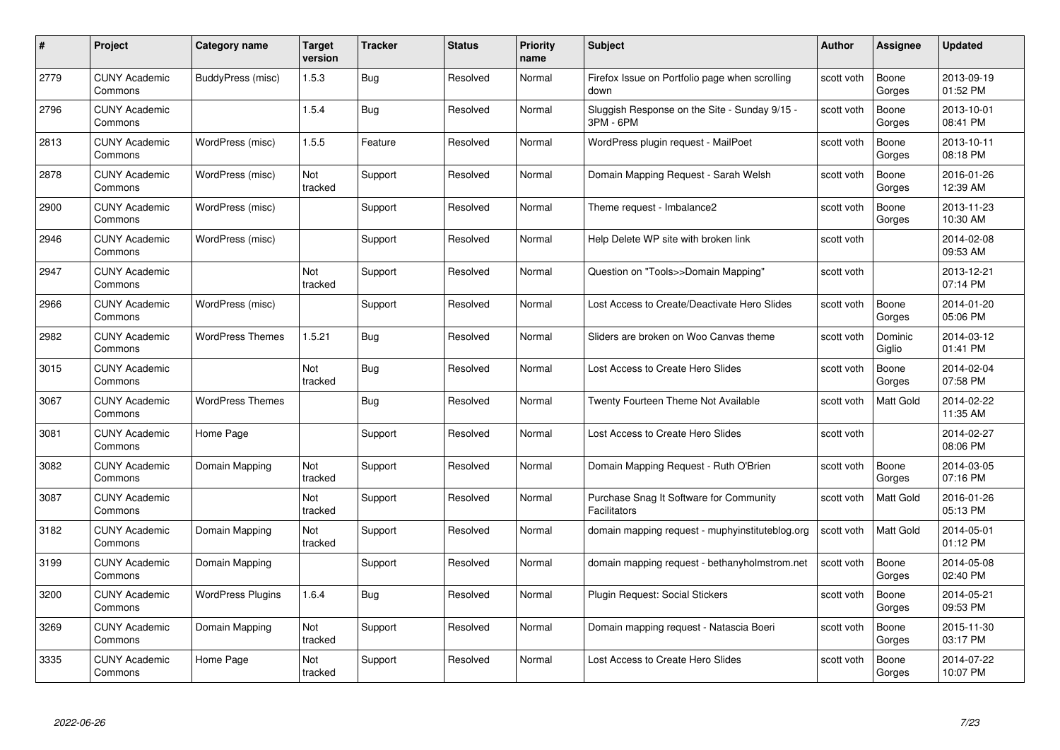| #    | Project                         | Category name            | Target<br>version | <b>Tracker</b> | <b>Status</b> | <b>Priority</b><br>name | <b>Subject</b>                                                 | Author     | Assignee          | <b>Updated</b>         |
|------|---------------------------------|--------------------------|-------------------|----------------|---------------|-------------------------|----------------------------------------------------------------|------------|-------------------|------------------------|
| 2779 | <b>CUNY Academic</b><br>Commons | BuddyPress (misc)        | 1.5.3             | Bug            | Resolved      | Normal                  | Firefox Issue on Portfolio page when scrolling<br>down         | scott voth | Boone<br>Gorges   | 2013-09-19<br>01:52 PM |
| 2796 | <b>CUNY Academic</b><br>Commons |                          | 1.5.4             | Bug            | Resolved      | Normal                  | Sluggish Response on the Site - Sunday 9/15 -<br>3PM - 6PM     | scott voth | Boone<br>Gorges   | 2013-10-01<br>08:41 PM |
| 2813 | <b>CUNY Academic</b><br>Commons | WordPress (misc)         | 1.5.5             | Feature        | Resolved      | Normal                  | WordPress plugin request - MailPoet                            | scott voth | Boone<br>Gorges   | 2013-10-11<br>08:18 PM |
| 2878 | <b>CUNY Academic</b><br>Commons | WordPress (misc)         | Not<br>tracked    | Support        | Resolved      | Normal                  | Domain Mapping Request - Sarah Welsh                           | scott voth | Boone<br>Gorges   | 2016-01-26<br>12:39 AM |
| 2900 | <b>CUNY Academic</b><br>Commons | WordPress (misc)         |                   | Support        | Resolved      | Normal                  | Theme request - Imbalance2                                     | scott voth | Boone<br>Gorges   | 2013-11-23<br>10:30 AM |
| 2946 | <b>CUNY Academic</b><br>Commons | WordPress (misc)         |                   | Support        | Resolved      | Normal                  | Help Delete WP site with broken link                           | scott voth |                   | 2014-02-08<br>09:53 AM |
| 2947 | <b>CUNY Academic</b><br>Commons |                          | Not<br>tracked    | Support        | Resolved      | Normal                  | Question on "Tools>>Domain Mapping"                            | scott voth |                   | 2013-12-21<br>07:14 PM |
| 2966 | <b>CUNY Academic</b><br>Commons | WordPress (misc)         |                   | Support        | Resolved      | Normal                  | Lost Access to Create/Deactivate Hero Slides                   | scott voth | Boone<br>Gorges   | 2014-01-20<br>05:06 PM |
| 2982 | <b>CUNY Academic</b><br>Commons | <b>WordPress Themes</b>  | 1.5.21            | <b>Bug</b>     | Resolved      | Normal                  | Sliders are broken on Woo Canvas theme                         | scott voth | Dominic<br>Giglio | 2014-03-12<br>01:41 PM |
| 3015 | <b>CUNY Academic</b><br>Commons |                          | Not<br>tracked    | <b>Bug</b>     | Resolved      | Normal                  | Lost Access to Create Hero Slides                              | scott voth | Boone<br>Gorges   | 2014-02-04<br>07:58 PM |
| 3067 | CUNY Academic<br>Commons        | <b>WordPress Themes</b>  |                   | Bug            | Resolved      | Normal                  | Twenty Fourteen Theme Not Available                            | scott voth | Matt Gold         | 2014-02-22<br>11:35 AM |
| 3081 | <b>CUNY Academic</b><br>Commons | Home Page                |                   | Support        | Resolved      | Normal                  | Lost Access to Create Hero Slides                              | scott voth |                   | 2014-02-27<br>08:06 PM |
| 3082 | <b>CUNY Academic</b><br>Commons | Domain Mapping           | Not<br>tracked    | Support        | Resolved      | Normal                  | Domain Mapping Request - Ruth O'Brien                          | scott voth | Boone<br>Gorges   | 2014-03-05<br>07:16 PM |
| 3087 | <b>CUNY Academic</b><br>Commons |                          | Not<br>tracked    | Support        | Resolved      | Normal                  | Purchase Snag It Software for Community<br><b>Facilitators</b> | scott voth | Matt Gold         | 2016-01-26<br>05:13 PM |
| 3182 | <b>CUNY Academic</b><br>Commons | Domain Mapping           | Not<br>tracked    | Support        | Resolved      | Normal                  | domain mapping request - muphyinstituteblog.org                | scott voth | Matt Gold         | 2014-05-01<br>01:12 PM |
| 3199 | <b>CUNY Academic</b><br>Commons | Domain Mapping           |                   | Support        | Resolved      | Normal                  | domain mapping request - bethanyholmstrom.net                  | scott voth | Boone<br>Gorges   | 2014-05-08<br>02:40 PM |
| 3200 | <b>CUNY Academic</b><br>Commons | <b>WordPress Plugins</b> | 1.6.4             | Bug            | Resolved      | Normal                  | Plugin Request: Social Stickers                                | scott voth | Boone<br>Gorges   | 2014-05-21<br>09:53 PM |
| 3269 | <b>CUNY Academic</b><br>Commons | Domain Mapping           | Not<br>tracked    | Support        | Resolved      | Normal                  | Domain mapping request - Natascia Boeri                        | scott voth | Boone<br>Gorges   | 2015-11-30<br>03:17 PM |
| 3335 | CUNY Academic<br>Commons        | Home Page                | Not<br>tracked    | Support        | Resolved      | Normal                  | Lost Access to Create Hero Slides                              | scott voth | Boone<br>Gorges   | 2014-07-22<br>10:07 PM |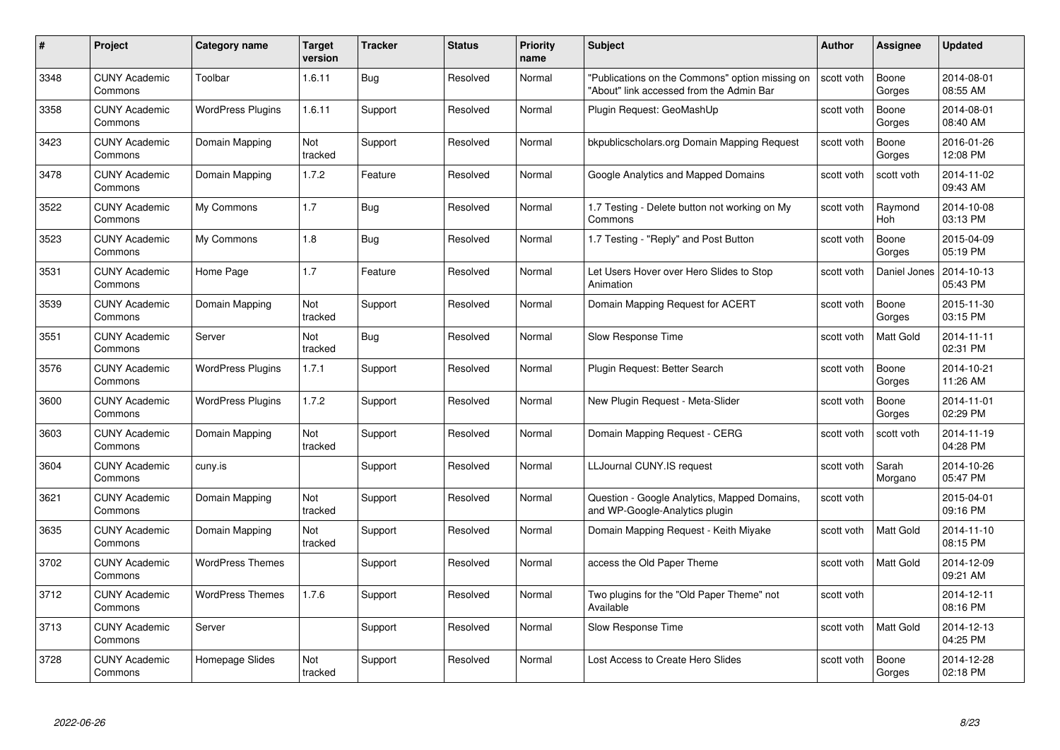| #    | Project                         | <b>Category name</b>     | Target<br>version | <b>Tracker</b> | <b>Status</b> | <b>Priority</b><br>name | <b>Subject</b>                                                                              | <b>Author</b> | Assignee         | <b>Updated</b>         |
|------|---------------------------------|--------------------------|-------------------|----------------|---------------|-------------------------|---------------------------------------------------------------------------------------------|---------------|------------------|------------------------|
| 3348 | <b>CUNY Academic</b><br>Commons | Toolbar                  | 1.6.11            | <b>Bug</b>     | Resolved      | Normal                  | "Publications on the Commons" option missing on<br>"About" link accessed from the Admin Bar | scott voth    | Boone<br>Gorges  | 2014-08-01<br>08:55 AM |
| 3358 | <b>CUNY Academic</b><br>Commons | <b>WordPress Plugins</b> | 1.6.11            | Support        | Resolved      | Normal                  | Plugin Request: GeoMashUp                                                                   | scott voth    | Boone<br>Gorges  | 2014-08-01<br>08:40 AM |
| 3423 | <b>CUNY Academic</b><br>Commons | Domain Mapping           | Not<br>tracked    | Support        | Resolved      | Normal                  | bkpublicscholars.org Domain Mapping Request                                                 | scott voth    | Boone<br>Gorges  | 2016-01-26<br>12:08 PM |
| 3478 | <b>CUNY Academic</b><br>Commons | Domain Mapping           | 1.7.2             | Feature        | Resolved      | Normal                  | Google Analytics and Mapped Domains                                                         | scott voth    | scott voth       | 2014-11-02<br>09:43 AM |
| 3522 | <b>CUNY Academic</b><br>Commons | My Commons               | 1.7               | Bug            | Resolved      | Normal                  | 1.7 Testing - Delete button not working on My<br>Commons                                    | scott voth    | Raymond<br>Hoh   | 2014-10-08<br>03:13 PM |
| 3523 | <b>CUNY Academic</b><br>Commons | My Commons               | 1.8               | Bug            | Resolved      | Normal                  | 1.7 Testing - "Reply" and Post Button                                                       | scott voth    | Boone<br>Gorges  | 2015-04-09<br>05:19 PM |
| 3531 | <b>CUNY Academic</b><br>Commons | Home Page                | 1.7               | Feature        | Resolved      | Normal                  | Let Users Hover over Hero Slides to Stop<br>Animation                                       | scott voth    | Daniel Jones     | 2014-10-13<br>05:43 PM |
| 3539 | <b>CUNY Academic</b><br>Commons | Domain Mapping           | Not<br>tracked    | Support        | Resolved      | Normal                  | Domain Mapping Request for ACERT                                                            | scott voth    | Boone<br>Gorges  | 2015-11-30<br>03:15 PM |
| 3551 | <b>CUNY Academic</b><br>Commons | Server                   | Not<br>tracked    | <b>Bug</b>     | Resolved      | Normal                  | Slow Response Time                                                                          | scott voth    | <b>Matt Gold</b> | 2014-11-11<br>02:31 PM |
| 3576 | <b>CUNY Academic</b><br>Commons | <b>WordPress Plugins</b> | 1.7.1             | Support        | Resolved      | Normal                  | Plugin Request: Better Search                                                               | scott voth    | Boone<br>Gorges  | 2014-10-21<br>11:26 AM |
| 3600 | <b>CUNY Academic</b><br>Commons | <b>WordPress Plugins</b> | 1.7.2             | Support        | Resolved      | Normal                  | New Plugin Request - Meta-Slider                                                            | scott voth    | Boone<br>Gorges  | 2014-11-01<br>02:29 PM |
| 3603 | <b>CUNY Academic</b><br>Commons | Domain Mapping           | Not<br>tracked    | Support        | Resolved      | Normal                  | Domain Mapping Request - CERG                                                               | scott voth    | scott voth       | 2014-11-19<br>04:28 PM |
| 3604 | <b>CUNY Academic</b><br>Commons | cuny.is                  |                   | Support        | Resolved      | Normal                  | LLJournal CUNY.IS request                                                                   | scott voth    | Sarah<br>Morgano | 2014-10-26<br>05:47 PM |
| 3621 | <b>CUNY Academic</b><br>Commons | Domain Mapping           | Not<br>tracked    | Support        | Resolved      | Normal                  | Question - Google Analytics, Mapped Domains,<br>and WP-Google-Analytics plugin              | scott voth    |                  | 2015-04-01<br>09:16 PM |
| 3635 | CUNY Academic<br>Commons        | Domain Mapping           | Not<br>tracked    | Support        | Resolved      | Normal                  | Domain Mapping Request - Keith Miyake                                                       | scott voth    | Matt Gold        | 2014-11-10<br>08:15 PM |
| 3702 | <b>CUNY Academic</b><br>Commons | <b>WordPress Themes</b>  |                   | Support        | Resolved      | Normal                  | access the Old Paper Theme                                                                  | scott voth    | Matt Gold        | 2014-12-09<br>09:21 AM |
| 3712 | <b>CUNY Academic</b><br>Commons | <b>WordPress Themes</b>  | 1.7.6             | Support        | Resolved      | Normal                  | Two plugins for the "Old Paper Theme" not<br>Available                                      | scott voth    |                  | 2014-12-11<br>08:16 PM |
| 3713 | <b>CUNY Academic</b><br>Commons | Server                   |                   | Support        | Resolved      | Normal                  | Slow Response Time                                                                          | scott voth    | Matt Gold        | 2014-12-13<br>04:25 PM |
| 3728 | CUNY Academic<br>Commons        | Homepage Slides          | Not<br>tracked    | Support        | Resolved      | Normal                  | Lost Access to Create Hero Slides                                                           | scott voth    | Boone<br>Gorges  | 2014-12-28<br>02:18 PM |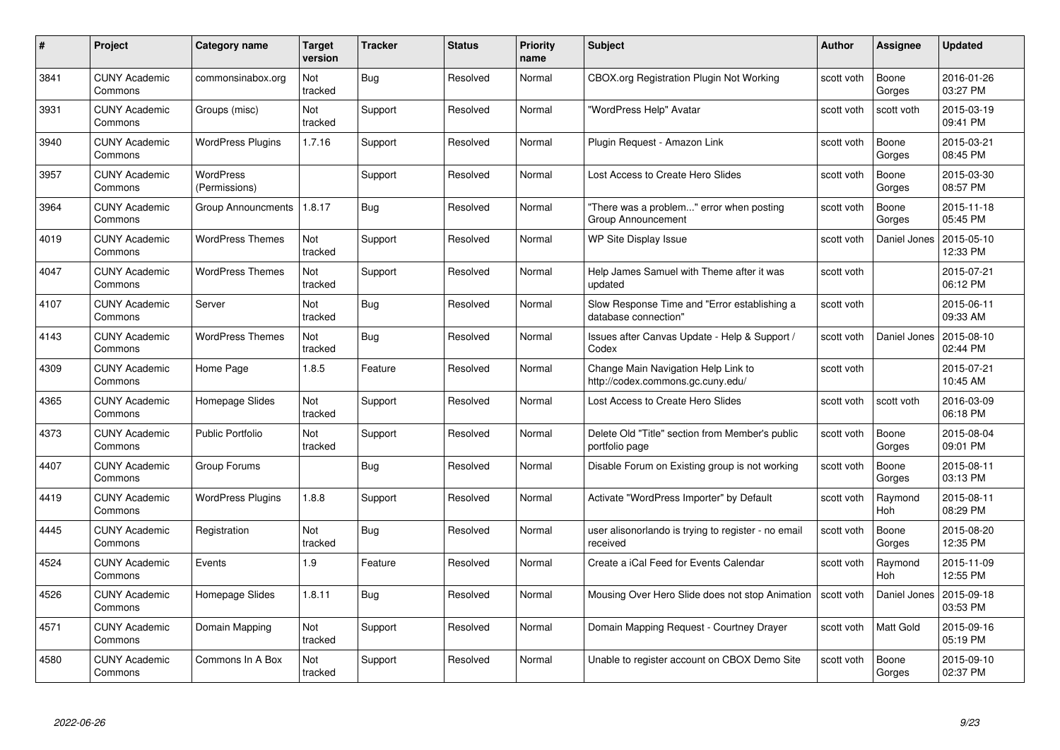| #    | Project                         | <b>Category name</b>       | Target<br>version | <b>Tracker</b> | <b>Status</b> | <b>Priority</b><br>name | <b>Subject</b>                                                           | <b>Author</b> | <b>Assignee</b>       | <b>Updated</b>         |
|------|---------------------------------|----------------------------|-------------------|----------------|---------------|-------------------------|--------------------------------------------------------------------------|---------------|-----------------------|------------------------|
| 3841 | <b>CUNY Academic</b><br>Commons | commonsinabox.org          | Not<br>tracked    | Bug            | Resolved      | Normal                  | CBOX.org Registration Plugin Not Working                                 | scott voth    | Boone<br>Gorges       | 2016-01-26<br>03:27 PM |
| 3931 | <b>CUNY Academic</b><br>Commons | Groups (misc)              | Not<br>tracked    | Support        | Resolved      | Normal                  | "WordPress Help" Avatar                                                  | scott voth    | scott voth            | 2015-03-19<br>09:41 PM |
| 3940 | <b>CUNY Academic</b><br>Commons | <b>WordPress Plugins</b>   | 1.7.16            | Support        | Resolved      | Normal                  | Plugin Request - Amazon Link                                             | scott voth    | Boone<br>Gorges       | 2015-03-21<br>08:45 PM |
| 3957 | <b>CUNY Academic</b><br>Commons | WordPress<br>(Permissions) |                   | Support        | Resolved      | Normal                  | Lost Access to Create Hero Slides                                        | scott voth    | Boone<br>Gorges       | 2015-03-30<br>08:57 PM |
| 3964 | CUNY Academic<br>Commons        | <b>Group Announcments</b>  | 1.8.17            | <b>Bug</b>     | Resolved      | Normal                  | "There was a problem" error when posting<br>Group Announcement           | scott voth    | Boone<br>Gorges       | 2015-11-18<br>05:45 PM |
| 4019 | <b>CUNY Academic</b><br>Commons | <b>WordPress Themes</b>    | Not<br>tracked    | Support        | Resolved      | Normal                  | WP Site Display Issue                                                    | scott voth    | Daniel Jones          | 2015-05-10<br>12:33 PM |
| 4047 | <b>CUNY Academic</b><br>Commons | <b>WordPress Themes</b>    | Not<br>tracked    | Support        | Resolved      | Normal                  | Help James Samuel with Theme after it was<br>updated                     | scott voth    |                       | 2015-07-21<br>06:12 PM |
| 4107 | <b>CUNY Academic</b><br>Commons | Server                     | Not<br>tracked    | <b>Bug</b>     | Resolved      | Normal                  | Slow Response Time and "Error establishing a<br>database connection"     | scott voth    |                       | 2015-06-11<br>09:33 AM |
| 4143 | <b>CUNY Academic</b><br>Commons | <b>WordPress Themes</b>    | Not<br>tracked    | <b>Bug</b>     | Resolved      | Normal                  | Issues after Canvas Update - Help & Support /<br>Codex                   | scott voth    | Daniel Jones          | 2015-08-10<br>02:44 PM |
| 4309 | <b>CUNY Academic</b><br>Commons | Home Page                  | 1.8.5             | Feature        | Resolved      | Normal                  | Change Main Navigation Help Link to<br>http://codex.commons.gc.cuny.edu/ | scott voth    |                       | 2015-07-21<br>10:45 AM |
| 4365 | CUNY Academic<br>Commons        | Homepage Slides            | Not<br>tracked    | Support        | Resolved      | Normal                  | Lost Access to Create Hero Slides                                        | scott voth    | scott voth            | 2016-03-09<br>06:18 PM |
| 4373 | <b>CUNY Academic</b><br>Commons | <b>Public Portfolio</b>    | Not<br>tracked    | Support        | Resolved      | Normal                  | Delete Old "Title" section from Member's public<br>portfolio page        | scott voth    | Boone<br>Gorges       | 2015-08-04<br>09:01 PM |
| 4407 | <b>CUNY Academic</b><br>Commons | Group Forums               |                   | Bug            | Resolved      | Normal                  | Disable Forum on Existing group is not working                           | scott voth    | Boone<br>Gorges       | 2015-08-11<br>03:13 PM |
| 4419 | <b>CUNY Academic</b><br>Commons | <b>WordPress Plugins</b>   | 1.8.8             | Support        | Resolved      | Normal                  | Activate "WordPress Importer" by Default                                 | scott voth    | Raymond<br>Hoh        | 2015-08-11<br>08:29 PM |
| 4445 | <b>CUNY Academic</b><br>Commons | Registration               | Not<br>tracked    | <b>Bug</b>     | Resolved      | Normal                  | user alisonorlando is trying to register - no email<br>received          | scott voth    | Boone<br>Gorges       | 2015-08-20<br>12:35 PM |
| 4524 | <b>CUNY Academic</b><br>Commons | Events                     | 1.9               | Feature        | Resolved      | Normal                  | Create a iCal Feed for Events Calendar                                   | scott voth    | Raymond<br><b>Hoh</b> | 2015-11-09<br>12:55 PM |
| 4526 | <b>CUNY Academic</b><br>Commons | Homepage Slides            | 1.8.11            | <b>Bug</b>     | Resolved      | Normal                  | Mousing Over Hero Slide does not stop Animation                          | scott voth    | Daniel Jones          | 2015-09-18<br>03:53 PM |
| 4571 | <b>CUNY Academic</b><br>Commons | Domain Mapping             | Not<br>tracked    | Support        | Resolved      | Normal                  | Domain Mapping Request - Courtney Drayer                                 | scott voth    | Matt Gold             | 2015-09-16<br>05:19 PM |
| 4580 | CUNY Academic<br>Commons        | Commons In A Box           | Not<br>tracked    | Support        | Resolved      | Normal                  | Unable to register account on CBOX Demo Site                             | scott voth    | Boone<br>Gorges       | 2015-09-10<br>02:37 PM |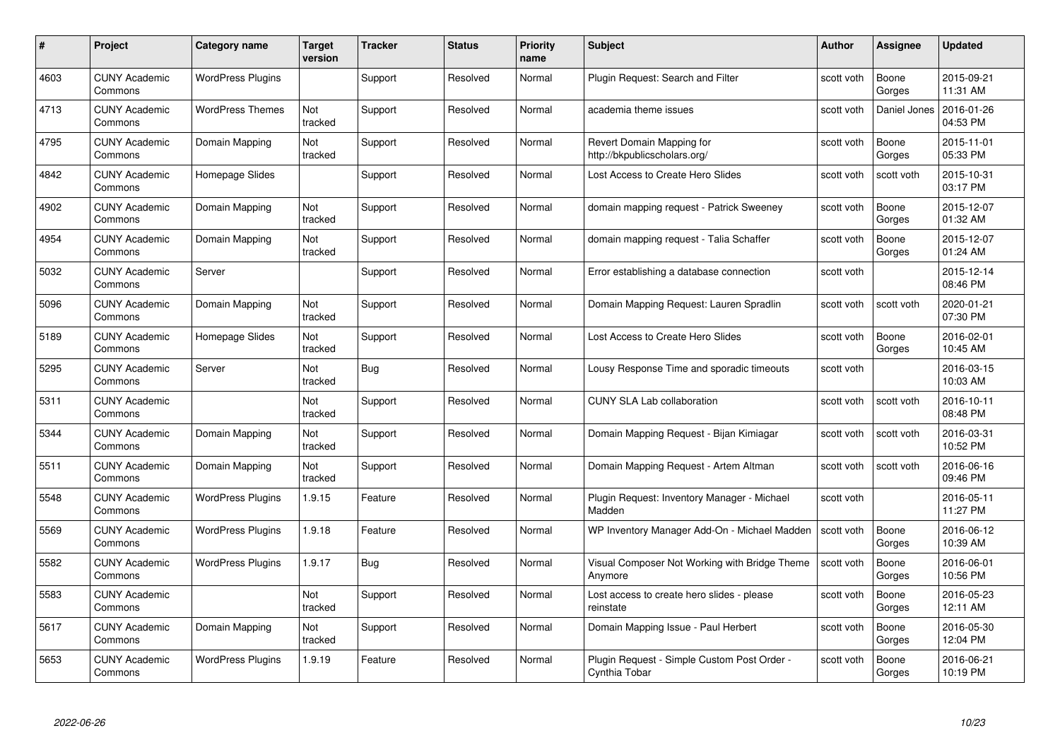| #    | Project                         | Category name            | Target<br>version | <b>Tracker</b> | <b>Status</b> | <b>Priority</b><br>name | <b>Subject</b>                                               | Author     | <b>Assignee</b> | <b>Updated</b>         |
|------|---------------------------------|--------------------------|-------------------|----------------|---------------|-------------------------|--------------------------------------------------------------|------------|-----------------|------------------------|
| 4603 | <b>CUNY Academic</b><br>Commons | <b>WordPress Plugins</b> |                   | Support        | Resolved      | Normal                  | Plugin Reguest: Search and Filter                            | scott voth | Boone<br>Gorges | 2015-09-21<br>11:31 AM |
| 4713 | <b>CUNY Academic</b><br>Commons | <b>WordPress Themes</b>  | Not<br>tracked    | Support        | Resolved      | Normal                  | academia theme issues                                        | scott voth | Daniel Jones    | 2016-01-26<br>04:53 PM |
| 4795 | <b>CUNY Academic</b><br>Commons | Domain Mapping           | Not<br>tracked    | Support        | Resolved      | Normal                  | Revert Domain Mapping for<br>http://bkpublicscholars.org/    | scott voth | Boone<br>Gorges | 2015-11-01<br>05:33 PM |
| 4842 | <b>CUNY Academic</b><br>Commons | Homepage Slides          |                   | Support        | Resolved      | Normal                  | Lost Access to Create Hero Slides                            | scott voth | scott voth      | 2015-10-31<br>03:17 PM |
| 4902 | <b>CUNY Academic</b><br>Commons | Domain Mapping           | Not<br>tracked    | Support        | Resolved      | Normal                  | domain mapping request - Patrick Sweeney                     | scott voth | Boone<br>Gorges | 2015-12-07<br>01:32 AM |
| 4954 | <b>CUNY Academic</b><br>Commons | Domain Mapping           | Not<br>tracked    | Support        | Resolved      | Normal                  | domain mapping request - Talia Schaffer                      | scott voth | Boone<br>Gorges | 2015-12-07<br>01:24 AM |
| 5032 | <b>CUNY Academic</b><br>Commons | Server                   |                   | Support        | Resolved      | Normal                  | Error establishing a database connection                     | scott voth |                 | 2015-12-14<br>08:46 PM |
| 5096 | <b>CUNY Academic</b><br>Commons | Domain Mapping           | Not<br>tracked    | Support        | Resolved      | Normal                  | Domain Mapping Request: Lauren Spradlin                      | scott voth | scott voth      | 2020-01-21<br>07:30 PM |
| 5189 | <b>CUNY Academic</b><br>Commons | Homepage Slides          | Not<br>tracked    | Support        | Resolved      | Normal                  | Lost Access to Create Hero Slides                            | scott voth | Boone<br>Gorges | 2016-02-01<br>10:45 AM |
| 5295 | <b>CUNY Academic</b><br>Commons | Server                   | Not<br>tracked    | <b>Bug</b>     | Resolved      | Normal                  | Lousy Response Time and sporadic timeouts                    | scott voth |                 | 2016-03-15<br>10:03 AM |
| 5311 | <b>CUNY Academic</b><br>Commons |                          | Not<br>tracked    | Support        | Resolved      | Normal                  | <b>CUNY SLA Lab collaboration</b>                            | scott voth | scott voth      | 2016-10-11<br>08:48 PM |
| 5344 | <b>CUNY Academic</b><br>Commons | Domain Mapping           | Not<br>tracked    | Support        | Resolved      | Normal                  | Domain Mapping Request - Bijan Kimiagar                      | scott voth | scott voth      | 2016-03-31<br>10:52 PM |
| 5511 | <b>CUNY Academic</b><br>Commons | Domain Mapping           | Not<br>tracked    | Support        | Resolved      | Normal                  | Domain Mapping Request - Artem Altman                        | scott voth | scott voth      | 2016-06-16<br>09:46 PM |
| 5548 | <b>CUNY Academic</b><br>Commons | <b>WordPress Plugins</b> | 1.9.15            | Feature        | Resolved      | Normal                  | Plugin Request: Inventory Manager - Michael<br>Madden        | scott voth |                 | 2016-05-11<br>11:27 PM |
| 5569 | <b>CUNY Academic</b><br>Commons | <b>WordPress Plugins</b> | 1.9.18            | Feature        | Resolved      | Normal                  | WP Inventory Manager Add-On - Michael Madden                 | scott voth | Boone<br>Gorges | 2016-06-12<br>10:39 AM |
| 5582 | <b>CUNY Academic</b><br>Commons | <b>WordPress Plugins</b> | 1.9.17            | Bug            | Resolved      | Normal                  | Visual Composer Not Working with Bridge Theme<br>Anymore     | scott voth | Boone<br>Gorges | 2016-06-01<br>10:56 PM |
| 5583 | <b>CUNY Academic</b><br>Commons |                          | Not<br>tracked    | Support        | Resolved      | Normal                  | Lost access to create hero slides - please<br>reinstate      | scott voth | Boone<br>Gorges | 2016-05-23<br>12:11 AM |
| 5617 | <b>CUNY Academic</b><br>Commons | Domain Mapping           | Not<br>tracked    | Support        | Resolved      | Normal                  | Domain Mapping Issue - Paul Herbert                          | scott voth | Boone<br>Gorges | 2016-05-30<br>12:04 PM |
| 5653 | <b>CUNY Academic</b><br>Commons | <b>WordPress Plugins</b> | 1.9.19            | Feature        | Resolved      | Normal                  | Plugin Request - Simple Custom Post Order -<br>Cynthia Tobar | scott voth | Boone<br>Gorges | 2016-06-21<br>10:19 PM |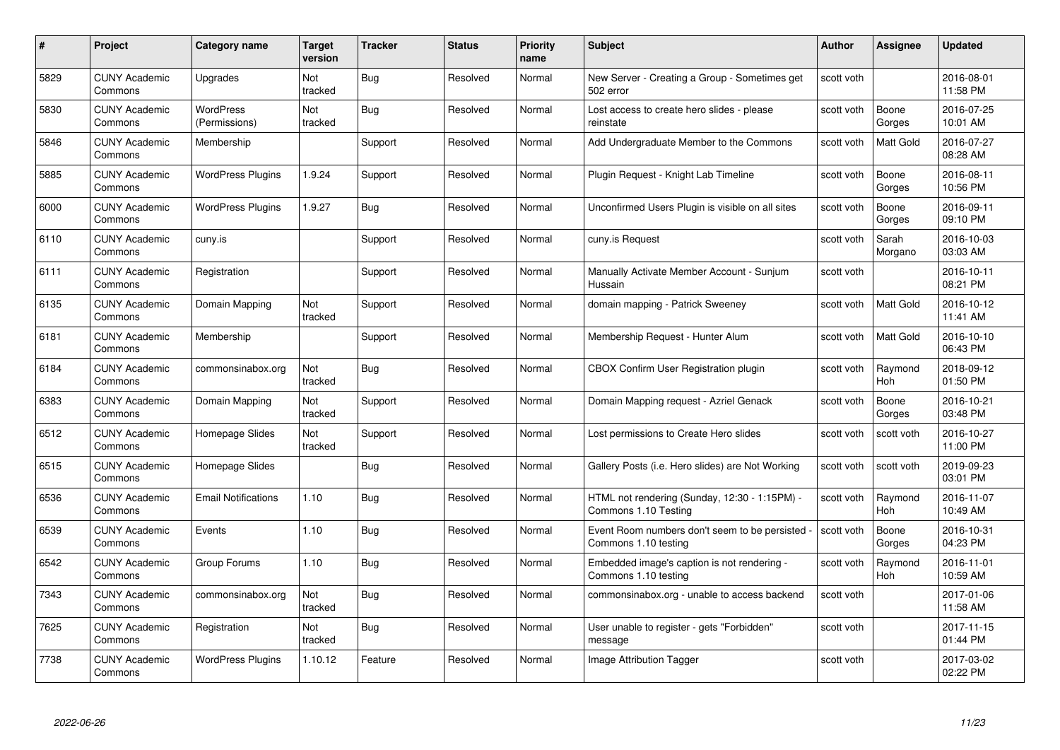| #    | Project                         | Category name                     | Target<br>version | <b>Tracker</b> | <b>Status</b> | <b>Priority</b><br>name | <b>Subject</b>                                                        | <b>Author</b> | <b>Assignee</b>       | <b>Updated</b>         |
|------|---------------------------------|-----------------------------------|-------------------|----------------|---------------|-------------------------|-----------------------------------------------------------------------|---------------|-----------------------|------------------------|
| 5829 | <b>CUNY Academic</b><br>Commons | Upgrades                          | Not<br>tracked    | Bug            | Resolved      | Normal                  | New Server - Creating a Group - Sometimes get<br>502 error            | scott voth    |                       | 2016-08-01<br>11:58 PM |
| 5830 | <b>CUNY Academic</b><br>Commons | <b>WordPress</b><br>(Permissions) | Not<br>tracked    | Bug            | Resolved      | Normal                  | Lost access to create hero slides - please<br>reinstate               | scott voth    | Boone<br>Gorges       | 2016-07-25<br>10:01 AM |
| 5846 | <b>CUNY Academic</b><br>Commons | Membership                        |                   | Support        | Resolved      | Normal                  | Add Undergraduate Member to the Commons                               | scott voth    | Matt Gold             | 2016-07-27<br>08:28 AM |
| 5885 | <b>CUNY Academic</b><br>Commons | <b>WordPress Plugins</b>          | 1.9.24            | Support        | Resolved      | Normal                  | Plugin Request - Knight Lab Timeline                                  | scott voth    | Boone<br>Gorges       | 2016-08-11<br>10:56 PM |
| 6000 | <b>CUNY Academic</b><br>Commons | <b>WordPress Plugins</b>          | 1.9.27            | Bug            | Resolved      | Normal                  | Unconfirmed Users Plugin is visible on all sites                      | scott voth    | Boone<br>Gorges       | 2016-09-11<br>09:10 PM |
| 6110 | <b>CUNY Academic</b><br>Commons | cuny.is                           |                   | Support        | Resolved      | Normal                  | cuny.is Request                                                       | scott voth    | Sarah<br>Morgano      | 2016-10-03<br>03:03 AM |
| 6111 | <b>CUNY Academic</b><br>Commons | Registration                      |                   | Support        | Resolved      | Normal                  | Manually Activate Member Account - Sunjum<br>Hussain                  | scott voth    |                       | 2016-10-11<br>08:21 PM |
| 6135 | <b>CUNY Academic</b><br>Commons | Domain Mapping                    | Not<br>tracked    | Support        | Resolved      | Normal                  | domain mapping - Patrick Sweeney                                      | scott voth    | Matt Gold             | 2016-10-12<br>11:41 AM |
| 6181 | <b>CUNY Academic</b><br>Commons | Membership                        |                   | Support        | Resolved      | Normal                  | Membership Request - Hunter Alum                                      | scott voth    | Matt Gold             | 2016-10-10<br>06:43 PM |
| 6184 | <b>CUNY Academic</b><br>Commons | commonsinabox.org                 | Not<br>tracked    | <b>Bug</b>     | Resolved      | Normal                  | CBOX Confirm User Registration plugin                                 | scott voth    | Raymond<br>Hoh        | 2018-09-12<br>01:50 PM |
| 6383 | <b>CUNY Academic</b><br>Commons | Domain Mapping                    | Not<br>tracked    | Support        | Resolved      | Normal                  | Domain Mapping request - Azriel Genack                                | scott voth    | Boone<br>Gorges       | 2016-10-21<br>03:48 PM |
| 6512 | <b>CUNY Academic</b><br>Commons | Homepage Slides                   | Not<br>tracked    | Support        | Resolved      | Normal                  | Lost permissions to Create Hero slides                                | scott voth    | scott voth            | 2016-10-27<br>11:00 PM |
| 6515 | <b>CUNY Academic</b><br>Commons | Homepage Slides                   |                   | <b>Bug</b>     | Resolved      | Normal                  | Gallery Posts (i.e. Hero slides) are Not Working                      | scott voth    | scott voth            | 2019-09-23<br>03:01 PM |
| 6536 | <b>CUNY Academic</b><br>Commons | <b>Email Notifications</b>        | 1.10              | Bug            | Resolved      | Normal                  | HTML not rendering (Sunday, 12:30 - 1:15PM) -<br>Commons 1.10 Testing | scott voth    | Raymond<br>Hoh        | 2016-11-07<br>10:49 AM |
| 6539 | <b>CUNY Academic</b><br>Commons | Events                            | 1.10              | Bug            | Resolved      | Normal                  | Event Room numbers don't seem to be persisted<br>Commons 1.10 testing | scott voth    | Boone<br>Gorges       | 2016-10-31<br>04:23 PM |
| 6542 | <b>CUNY Academic</b><br>Commons | Group Forums                      | 1.10              | <b>Bug</b>     | Resolved      | Normal                  | Embedded image's caption is not rendering -<br>Commons 1.10 testing   | scott voth    | Raymond<br><b>Hoh</b> | 2016-11-01<br>10:59 AM |
| 7343 | <b>CUNY Academic</b><br>Commons | commonsinabox.org                 | Not<br>tracked    | Bug            | Resolved      | Normal                  | commonsinabox.org - unable to access backend                          | scott voth    |                       | 2017-01-06<br>11:58 AM |
| 7625 | <b>CUNY Academic</b><br>Commons | Registration                      | Not<br>tracked    | <b>Bug</b>     | Resolved      | Normal                  | User unable to register - gets "Forbidden"<br>message                 | scott voth    |                       | 2017-11-15<br>01:44 PM |
| 7738 | CUNY Academic<br>Commons        | <b>WordPress Plugins</b>          | 1.10.12           | Feature        | Resolved      | Normal                  | <b>Image Attribution Tagger</b>                                       | scott voth    |                       | 2017-03-02<br>02:22 PM |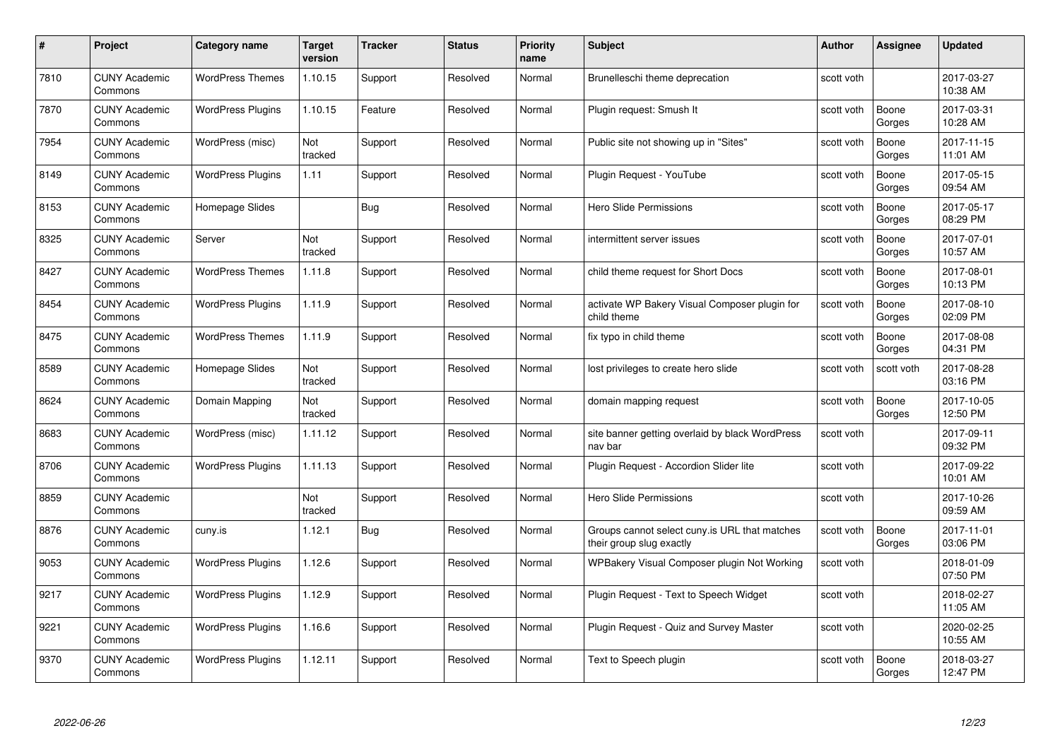| #    | Project                         | Category name            | Target<br>version | <b>Tracker</b> | <b>Status</b> | <b>Priority</b><br>name | <b>Subject</b>                                                            | Author     | Assignee        | <b>Updated</b>         |
|------|---------------------------------|--------------------------|-------------------|----------------|---------------|-------------------------|---------------------------------------------------------------------------|------------|-----------------|------------------------|
| 7810 | <b>CUNY Academic</b><br>Commons | <b>WordPress Themes</b>  | 1.10.15           | Support        | Resolved      | Normal                  | Brunelleschi theme deprecation                                            | scott voth |                 | 2017-03-27<br>10:38 AM |
| 7870 | <b>CUNY Academic</b><br>Commons | <b>WordPress Plugins</b> | 1.10.15           | Feature        | Resolved      | Normal                  | Plugin request: Smush It                                                  | scott voth | Boone<br>Gorges | 2017-03-31<br>10:28 AM |
| 7954 | <b>CUNY Academic</b><br>Commons | WordPress (misc)         | Not<br>tracked    | Support        | Resolved      | Normal                  | Public site not showing up in "Sites"                                     | scott voth | Boone<br>Gorges | 2017-11-15<br>11:01 AM |
| 8149 | <b>CUNY Academic</b><br>Commons | <b>WordPress Plugins</b> | 1.11              | Support        | Resolved      | Normal                  | Plugin Request - YouTube                                                  | scott voth | Boone<br>Gorges | 2017-05-15<br>09:54 AM |
| 8153 | <b>CUNY Academic</b><br>Commons | Homepage Slides          |                   | Bug            | Resolved      | Normal                  | <b>Hero Slide Permissions</b>                                             | scott voth | Boone<br>Gorges | 2017-05-17<br>08:29 PM |
| 8325 | <b>CUNY Academic</b><br>Commons | Server                   | Not<br>tracked    | Support        | Resolved      | Normal                  | intermittent server issues                                                | scott voth | Boone<br>Gorges | 2017-07-01<br>10:57 AM |
| 8427 | <b>CUNY Academic</b><br>Commons | <b>WordPress Themes</b>  | 1.11.8            | Support        | Resolved      | Normal                  | child theme request for Short Docs                                        | scott voth | Boone<br>Gorges | 2017-08-01<br>10:13 PM |
| 8454 | <b>CUNY Academic</b><br>Commons | <b>WordPress Plugins</b> | 1.11.9            | Support        | Resolved      | Normal                  | activate WP Bakery Visual Composer plugin for<br>child theme              | scott voth | Boone<br>Gorges | 2017-08-10<br>02:09 PM |
| 8475 | <b>CUNY Academic</b><br>Commons | <b>WordPress Themes</b>  | 1.11.9            | Support        | Resolved      | Normal                  | fix typo in child theme                                                   | scott voth | Boone<br>Gorges | 2017-08-08<br>04:31 PM |
| 8589 | <b>CUNY Academic</b><br>Commons | Homepage Slides          | Not<br>tracked    | Support        | Resolved      | Normal                  | lost privileges to create hero slide                                      | scott voth | scott voth      | 2017-08-28<br>03:16 PM |
| 8624 | <b>CUNY Academic</b><br>Commons | Domain Mapping           | Not<br>tracked    | Support        | Resolved      | Normal                  | domain mapping request                                                    | scott voth | Boone<br>Gorges | 2017-10-05<br>12:50 PM |
| 8683 | <b>CUNY Academic</b><br>Commons | WordPress (misc)         | 1.11.12           | Support        | Resolved      | Normal                  | site banner getting overlaid by black WordPress<br>nav bar                | scott voth |                 | 2017-09-11<br>09:32 PM |
| 8706 | <b>CUNY Academic</b><br>Commons | <b>WordPress Plugins</b> | 1.11.13           | Support        | Resolved      | Normal                  | Plugin Request - Accordion Slider lite                                    | scott voth |                 | 2017-09-22<br>10:01 AM |
| 8859 | <b>CUNY Academic</b><br>Commons |                          | Not<br>tracked    | Support        | Resolved      | Normal                  | <b>Hero Slide Permissions</b>                                             | scott voth |                 | 2017-10-26<br>09:59 AM |
| 8876 | <b>CUNY Academic</b><br>Commons | cuny.is                  | 1.12.1            | Bug            | Resolved      | Normal                  | Groups cannot select cuny.is URL that matches<br>their group slug exactly | scott voth | Boone<br>Gorges | 2017-11-01<br>03:06 PM |
| 9053 | <b>CUNY Academic</b><br>Commons | <b>WordPress Plugins</b> | 1.12.6            | Support        | Resolved      | Normal                  | WPBakery Visual Composer plugin Not Working                               | scott voth |                 | 2018-01-09<br>07:50 PM |
| 9217 | <b>CUNY Academic</b><br>Commons | <b>WordPress Plugins</b> | 1.12.9            | Support        | Resolved      | Normal                  | Plugin Request - Text to Speech Widget                                    | scott voth |                 | 2018-02-27<br>11:05 AM |
| 9221 | <b>CUNY Academic</b><br>Commons | <b>WordPress Plugins</b> | 1.16.6            | Support        | Resolved      | Normal                  | Plugin Request - Quiz and Survey Master                                   | scott voth |                 | 2020-02-25<br>10:55 AM |
| 9370 | CUNY Academic<br>Commons        | <b>WordPress Plugins</b> | 1.12.11           | Support        | Resolved      | Normal                  | Text to Speech plugin                                                     | scott voth | Boone<br>Gorges | 2018-03-27<br>12:47 PM |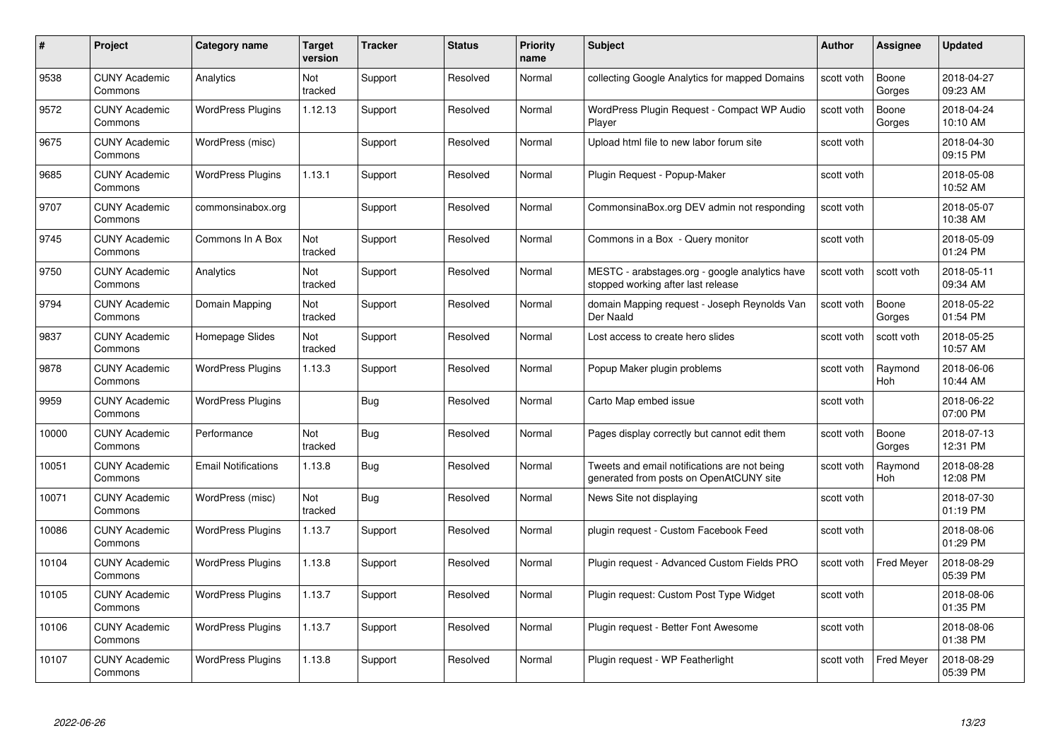| #     | Project                         | <b>Category name</b>       | Target<br>version | <b>Tracker</b> | <b>Status</b> | <b>Priority</b><br>name | <b>Subject</b>                                                                          | <b>Author</b> | <b>Assignee</b>       | <b>Updated</b>         |
|-------|---------------------------------|----------------------------|-------------------|----------------|---------------|-------------------------|-----------------------------------------------------------------------------------------|---------------|-----------------------|------------------------|
| 9538  | <b>CUNY Academic</b><br>Commons | Analytics                  | Not<br>tracked    | Support        | Resolved      | Normal                  | collecting Google Analytics for mapped Domains                                          | scott voth    | Boone<br>Gorges       | 2018-04-27<br>09:23 AM |
| 9572  | <b>CUNY Academic</b><br>Commons | <b>WordPress Plugins</b>   | 1.12.13           | Support        | Resolved      | Normal                  | WordPress Plugin Request - Compact WP Audio<br>Player                                   | scott voth    | Boone<br>Gorges       | 2018-04-24<br>10:10 AM |
| 9675  | <b>CUNY Academic</b><br>Commons | WordPress (misc)           |                   | Support        | Resolved      | Normal                  | Upload html file to new labor forum site                                                | scott voth    |                       | 2018-04-30<br>09:15 PM |
| 9685  | <b>CUNY Academic</b><br>Commons | <b>WordPress Plugins</b>   | 1.13.1            | Support        | Resolved      | Normal                  | Plugin Request - Popup-Maker                                                            | scott voth    |                       | 2018-05-08<br>10:52 AM |
| 9707  | <b>CUNY Academic</b><br>Commons | commonsinabox.org          |                   | Support        | Resolved      | Normal                  | CommonsinaBox.org DEV admin not responding                                              | scott voth    |                       | 2018-05-07<br>10:38 AM |
| 9745  | <b>CUNY Academic</b><br>Commons | Commons In A Box           | Not<br>tracked    | Support        | Resolved      | Normal                  | Commons in a Box - Query monitor                                                        | scott voth    |                       | 2018-05-09<br>01:24 PM |
| 9750  | <b>CUNY Academic</b><br>Commons | Analytics                  | Not<br>tracked    | Support        | Resolved      | Normal                  | MESTC - arabstages.org - google analytics have<br>stopped working after last release    | scott voth    | scott voth            | 2018-05-11<br>09:34 AM |
| 9794  | <b>CUNY Academic</b><br>Commons | Domain Mapping             | Not<br>tracked    | Support        | Resolved      | Normal                  | domain Mapping request - Joseph Reynolds Van<br>Der Naald                               | scott voth    | Boone<br>Gorges       | 2018-05-22<br>01:54 PM |
| 9837  | CUNY Academic<br>Commons        | Homepage Slides            | Not<br>tracked    | Support        | Resolved      | Normal                  | Lost access to create hero slides                                                       | scott voth    | scott voth            | 2018-05-25<br>10:57 AM |
| 9878  | <b>CUNY Academic</b><br>Commons | <b>WordPress Plugins</b>   | 1.13.3            | Support        | Resolved      | Normal                  | Popup Maker plugin problems                                                             | scott voth    | Raymond<br>Hoh        | 2018-06-06<br>10:44 AM |
| 9959  | CUNY Academic<br>Commons        | <b>WordPress Plugins</b>   |                   | <b>Bug</b>     | Resolved      | Normal                  | Carto Map embed issue                                                                   | scott voth    |                       | 2018-06-22<br>07:00 PM |
| 10000 | <b>CUNY Academic</b><br>Commons | Performance                | Not<br>tracked    | Bug            | Resolved      | Normal                  | Pages display correctly but cannot edit them                                            | scott voth    | Boone<br>Gorges       | 2018-07-13<br>12:31 PM |
| 10051 | <b>CUNY Academic</b><br>Commons | <b>Email Notifications</b> | 1.13.8            | <b>Bug</b>     | Resolved      | Normal                  | Tweets and email notifications are not being<br>generated from posts on OpenAtCUNY site | scott voth    | Raymond<br><b>Hoh</b> | 2018-08-28<br>12:08 PM |
| 10071 | <b>CUNY Academic</b><br>Commons | WordPress (misc)           | Not<br>tracked    | Bug            | Resolved      | Normal                  | News Site not displaying                                                                | scott voth    |                       | 2018-07-30<br>01:19 PM |
| 10086 | <b>CUNY Academic</b><br>Commons | <b>WordPress Plugins</b>   | 1.13.7            | Support        | Resolved      | Normal                  | plugin request - Custom Facebook Feed                                                   | scott voth    |                       | 2018-08-06<br>01:29 PM |
| 10104 | <b>CUNY Academic</b><br>Commons | <b>WordPress Plugins</b>   | 1.13.8            | Support        | Resolved      | Normal                  | Plugin request - Advanced Custom Fields PRO                                             | scott voth    | Fred Meyer            | 2018-08-29<br>05:39 PM |
| 10105 | <b>CUNY Academic</b><br>Commons | <b>WordPress Plugins</b>   | 1.13.7            | Support        | Resolved      | Normal                  | Plugin request: Custom Post Type Widget                                                 | scott voth    |                       | 2018-08-06<br>01:35 PM |
| 10106 | <b>CUNY Academic</b><br>Commons | <b>WordPress Plugins</b>   | 1.13.7            | Support        | Resolved      | Normal                  | Plugin reguest - Better Font Awesome                                                    | scott voth    |                       | 2018-08-06<br>01:38 PM |
| 10107 | <b>CUNY Academic</b><br>Commons | <b>WordPress Plugins</b>   | 1.13.8            | Support        | Resolved      | Normal                  | Plugin request - WP Featherlight                                                        | scott voth    | <b>Fred Meyer</b>     | 2018-08-29<br>05:39 PM |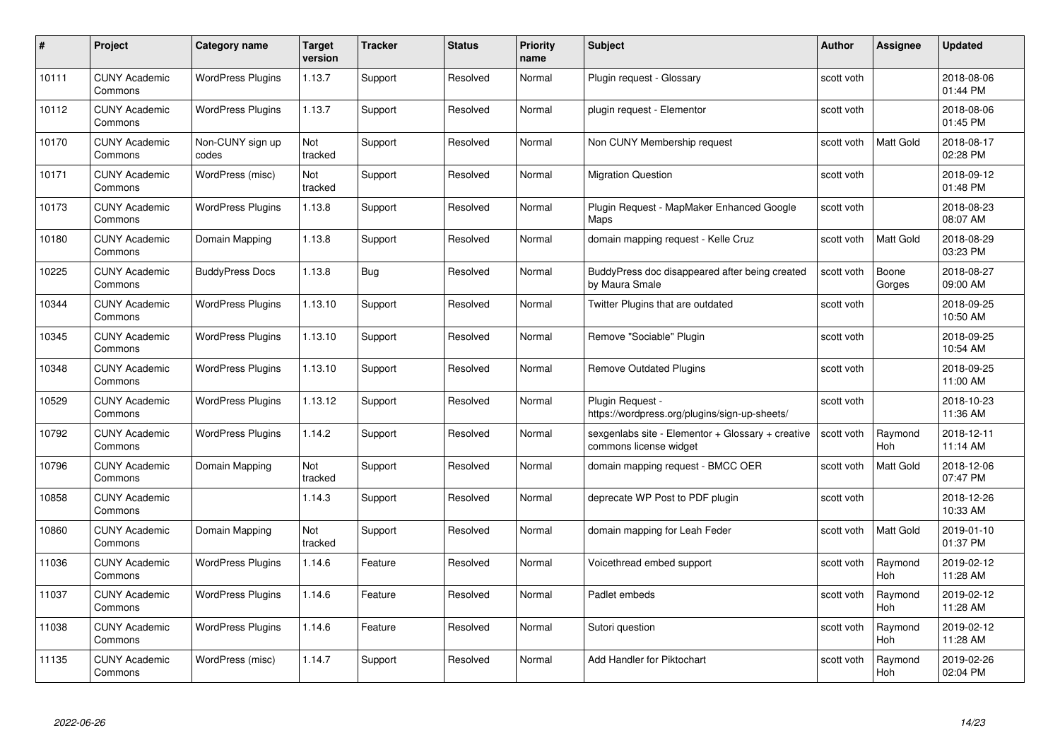| #     | Project                         | <b>Category name</b>      | Target<br>version | <b>Tracker</b> | <b>Status</b> | <b>Priority</b><br>name | <b>Subject</b>                                                              | <b>Author</b> | <b>Assignee</b>       | <b>Updated</b>         |
|-------|---------------------------------|---------------------------|-------------------|----------------|---------------|-------------------------|-----------------------------------------------------------------------------|---------------|-----------------------|------------------------|
| 10111 | <b>CUNY Academic</b><br>Commons | <b>WordPress Plugins</b>  | 1.13.7            | Support        | Resolved      | Normal                  | Plugin request - Glossary                                                   | scott voth    |                       | 2018-08-06<br>01:44 PM |
| 10112 | <b>CUNY Academic</b><br>Commons | <b>WordPress Plugins</b>  | 1.13.7            | Support        | Resolved      | Normal                  | plugin request - Elementor                                                  | scott voth    |                       | 2018-08-06<br>01:45 PM |
| 10170 | <b>CUNY Academic</b><br>Commons | Non-CUNY sign up<br>codes | Not<br>tracked    | Support        | Resolved      | Normal                  | Non CUNY Membership request                                                 | scott voth    | <b>Matt Gold</b>      | 2018-08-17<br>02:28 PM |
| 10171 | <b>CUNY Academic</b><br>Commons | WordPress (misc)          | Not<br>tracked    | Support        | Resolved      | Normal                  | <b>Migration Question</b>                                                   | scott voth    |                       | 2018-09-12<br>01:48 PM |
| 10173 | <b>CUNY Academic</b><br>Commons | <b>WordPress Plugins</b>  | 1.13.8            | Support        | Resolved      | Normal                  | Plugin Reguest - MapMaker Enhanced Google<br>Maps                           | scott voth    |                       | 2018-08-23<br>08:07 AM |
| 10180 | <b>CUNY Academic</b><br>Commons | Domain Mapping            | 1.13.8            | Support        | Resolved      | Normal                  | domain mapping request - Kelle Cruz                                         | scott voth    | <b>Matt Gold</b>      | 2018-08-29<br>03:23 PM |
| 10225 | <b>CUNY Academic</b><br>Commons | <b>BuddyPress Docs</b>    | 1.13.8            | Bug            | Resolved      | Normal                  | BuddyPress doc disappeared after being created<br>by Maura Smale            | scott voth    | Boone<br>Gorges       | 2018-08-27<br>09:00 AM |
| 10344 | <b>CUNY Academic</b><br>Commons | <b>WordPress Plugins</b>  | 1.13.10           | Support        | Resolved      | Normal                  | Twitter Plugins that are outdated                                           | scott voth    |                       | 2018-09-25<br>10:50 AM |
| 10345 | <b>CUNY Academic</b><br>Commons | <b>WordPress Plugins</b>  | 1.13.10           | Support        | Resolved      | Normal                  | Remove "Sociable" Plugin                                                    | scott voth    |                       | 2018-09-25<br>10:54 AM |
| 10348 | <b>CUNY Academic</b><br>Commons | <b>WordPress Plugins</b>  | 1.13.10           | Support        | Resolved      | Normal                  | <b>Remove Outdated Plugins</b>                                              | scott voth    |                       | 2018-09-25<br>11:00 AM |
| 10529 | <b>CUNY Academic</b><br>Commons | <b>WordPress Plugins</b>  | 1.13.12           | Support        | Resolved      | Normal                  | Plugin Request -<br>https://wordpress.org/plugins/sign-up-sheets/           | scott voth    |                       | 2018-10-23<br>11:36 AM |
| 10792 | <b>CUNY Academic</b><br>Commons | <b>WordPress Plugins</b>  | 1.14.2            | Support        | Resolved      | Normal                  | sexgenlabs site - Elementor + Glossary + creative<br>commons license widget | scott voth    | Raymond<br><b>Hoh</b> | 2018-12-11<br>11:14 AM |
| 10796 | <b>CUNY Academic</b><br>Commons | Domain Mapping            | Not<br>tracked    | Support        | Resolved      | Normal                  | domain mapping request - BMCC OER                                           | scott voth    | Matt Gold             | 2018-12-06<br>07:47 PM |
| 10858 | <b>CUNY Academic</b><br>Commons |                           | 1.14.3            | Support        | Resolved      | Normal                  | deprecate WP Post to PDF plugin                                             | scott voth    |                       | 2018-12-26<br>10:33 AM |
| 10860 | <b>CUNY Academic</b><br>Commons | Domain Mapping            | Not<br>tracked    | Support        | Resolved      | Normal                  | domain mapping for Leah Feder                                               | scott voth    | Matt Gold             | 2019-01-10<br>01:37 PM |
| 11036 | <b>CUNY Academic</b><br>Commons | <b>WordPress Plugins</b>  | 1.14.6            | Feature        | Resolved      | Normal                  | Voicethread embed support                                                   | scott voth    | Raymond<br><b>Hoh</b> | 2019-02-12<br>11:28 AM |
| 11037 | <b>CUNY Academic</b><br>Commons | <b>WordPress Plugins</b>  | 1.14.6            | Feature        | Resolved      | Normal                  | Padlet embeds                                                               | scott voth    | Raymond<br><b>Hoh</b> | 2019-02-12<br>11:28 AM |
| 11038 | <b>CUNY Academic</b><br>Commons | <b>WordPress Plugins</b>  | 1.14.6            | Feature        | Resolved      | Normal                  | Sutori question                                                             | scott voth    | Raymond<br>Hoh        | 2019-02-12<br>11:28 AM |
| 11135 | <b>CUNY Academic</b><br>Commons | WordPress (misc)          | 1.14.7            | Support        | Resolved      | Normal                  | Add Handler for Piktochart                                                  | scott voth    | Raymond<br>Hoh        | 2019-02-26<br>02:04 PM |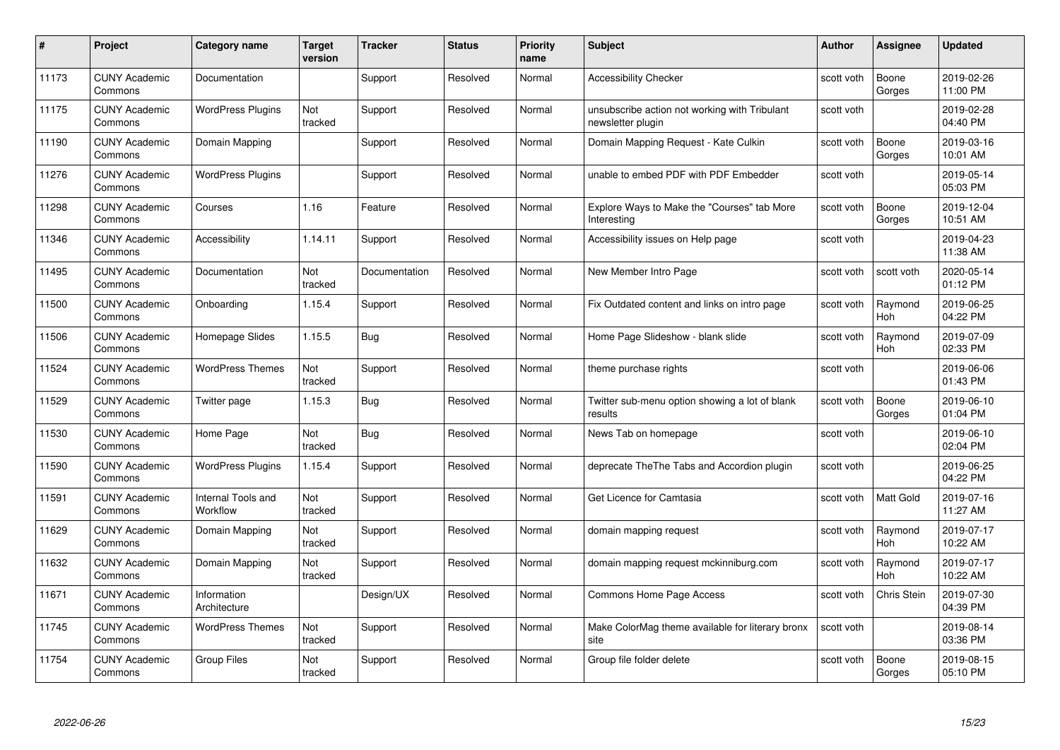| #     | Project                         | <b>Category name</b>           | Target<br>version | <b>Tracker</b> | <b>Status</b> | <b>Priority</b><br>name | <b>Subject</b>                                                     | <b>Author</b> | <b>Assignee</b>       | <b>Updated</b>         |
|-------|---------------------------------|--------------------------------|-------------------|----------------|---------------|-------------------------|--------------------------------------------------------------------|---------------|-----------------------|------------------------|
| 11173 | <b>CUNY Academic</b><br>Commons | Documentation                  |                   | Support        | Resolved      | Normal                  | <b>Accessibility Checker</b>                                       | scott voth    | Boone<br>Gorges       | 2019-02-26<br>11:00 PM |
| 11175 | <b>CUNY Academic</b><br>Commons | <b>WordPress Plugins</b>       | Not<br>tracked    | Support        | Resolved      | Normal                  | unsubscribe action not working with Tribulant<br>newsletter plugin | scott voth    |                       | 2019-02-28<br>04:40 PM |
| 11190 | <b>CUNY Academic</b><br>Commons | Domain Mapping                 |                   | Support        | Resolved      | Normal                  | Domain Mapping Request - Kate Culkin                               | scott voth    | Boone<br>Gorges       | 2019-03-16<br>10:01 AM |
| 11276 | <b>CUNY Academic</b><br>Commons | <b>WordPress Plugins</b>       |                   | Support        | Resolved      | Normal                  | unable to embed PDF with PDF Embedder                              | scott voth    |                       | 2019-05-14<br>05:03 PM |
| 11298 | CUNY Academic<br>Commons        | Courses                        | 1.16              | Feature        | Resolved      | Normal                  | Explore Ways to Make the "Courses" tab More<br>Interesting         | scott voth    | Boone<br>Gorges       | 2019-12-04<br>10:51 AM |
| 11346 | <b>CUNY Academic</b><br>Commons | Accessibility                  | 1.14.11           | Support        | Resolved      | Normal                  | Accessibility issues on Help page                                  | scott voth    |                       | 2019-04-23<br>11:38 AM |
| 11495 | <b>CUNY Academic</b><br>Commons | Documentation                  | Not<br>tracked    | Documentation  | Resolved      | Normal                  | New Member Intro Page                                              | scott voth    | scott voth            | 2020-05-14<br>01:12 PM |
| 11500 | <b>CUNY Academic</b><br>Commons | Onboarding                     | 1.15.4            | Support        | Resolved      | Normal                  | Fix Outdated content and links on intro page                       | scott voth    | Raymond<br><b>Hoh</b> | 2019-06-25<br>04:22 PM |
| 11506 | <b>CUNY Academic</b><br>Commons | Homepage Slides                | 1.15.5            | <b>Bug</b>     | Resolved      | Normal                  | Home Page Slideshow - blank slide                                  | scott voth    | Raymond<br>Hoh        | 2019-07-09<br>02:33 PM |
| 11524 | <b>CUNY Academic</b><br>Commons | <b>WordPress Themes</b>        | Not<br>tracked    | Support        | Resolved      | Normal                  | theme purchase rights                                              | scott voth    |                       | 2019-06-06<br>01:43 PM |
| 11529 | CUNY Academic<br>Commons        | Twitter page                   | 1.15.3            | Bug            | Resolved      | Normal                  | Twitter sub-menu option showing a lot of blank<br>results          | scott voth    | Boone<br>Gorges       | 2019-06-10<br>01:04 PM |
| 11530 | <b>CUNY Academic</b><br>Commons | Home Page                      | Not<br>tracked    | <b>Bug</b>     | Resolved      | Normal                  | News Tab on homepage                                               | scott voth    |                       | 2019-06-10<br>02:04 PM |
| 11590 | <b>CUNY Academic</b><br>Commons | <b>WordPress Plugins</b>       | 1.15.4            | Support        | Resolved      | Normal                  | deprecate The The Tabs and Accordion plugin                        | scott voth    |                       | 2019-06-25<br>04:22 PM |
| 11591 | <b>CUNY Academic</b><br>Commons | Internal Tools and<br>Workflow | Not<br>tracked    | Support        | Resolved      | Normal                  | Get Licence for Camtasia                                           | scott voth    | Matt Gold             | 2019-07-16<br>11:27 AM |
| 11629 | <b>CUNY Academic</b><br>Commons | Domain Mapping                 | Not<br>tracked    | Support        | Resolved      | Normal                  | domain mapping request                                             | scott voth    | Raymond<br>Hoh        | 2019-07-17<br>10:22 AM |
| 11632 | <b>CUNY Academic</b><br>Commons | Domain Mapping                 | Not<br>tracked    | Support        | Resolved      | Normal                  | domain mapping request mckinniburg.com                             | scott voth    | Raymond<br><b>Hoh</b> | 2019-07-17<br>10:22 AM |
| 11671 | <b>CUNY Academic</b><br>Commons | Information<br>Architecture    |                   | Design/UX      | Resolved      | Normal                  | Commons Home Page Access                                           | scott voth    | Chris Stein           | 2019-07-30<br>04:39 PM |
| 11745 | <b>CUNY Academic</b><br>Commons | <b>WordPress Themes</b>        | Not<br>tracked    | Support        | Resolved      | Normal                  | Make ColorMag theme available for literary bronx<br>site           | scott voth    |                       | 2019-08-14<br>03:36 PM |
| 11754 | CUNY Academic<br>Commons        | <b>Group Files</b>             | Not<br>tracked    | Support        | Resolved      | Normal                  | Group file folder delete                                           | scott voth    | Boone<br>Gorges       | 2019-08-15<br>05:10 PM |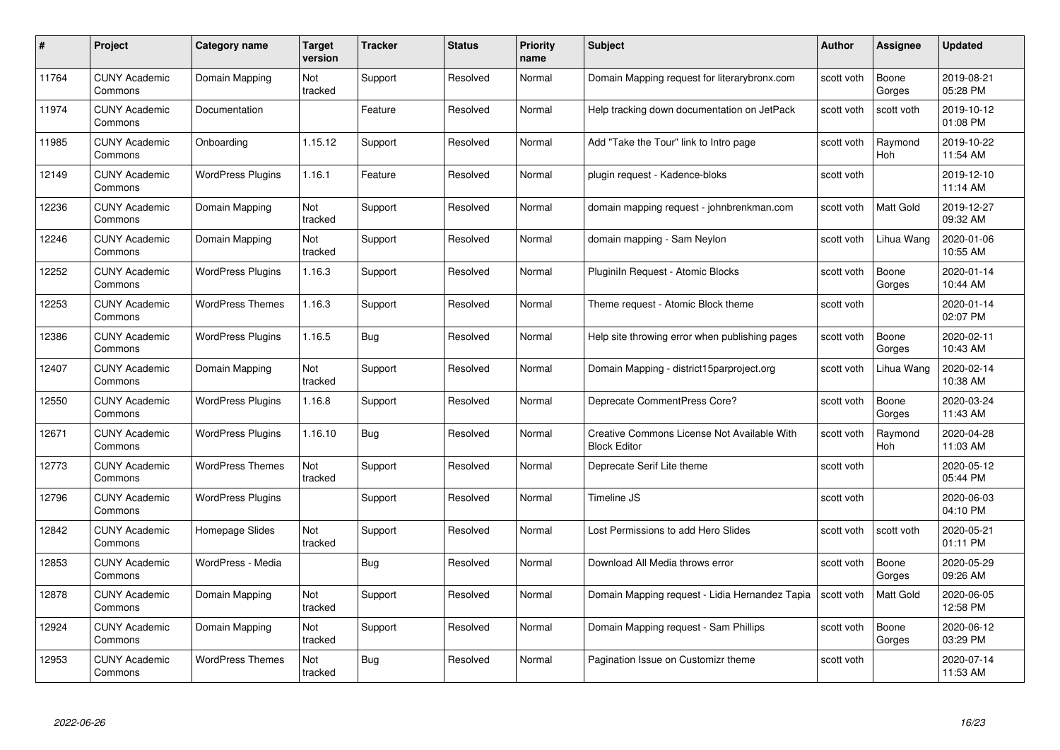| #     | Project                         | <b>Category name</b>     | Target<br>version | <b>Tracker</b> | <b>Status</b> | <b>Priority</b><br>name | <b>Subject</b>                                                     | <b>Author</b> | <b>Assignee</b>  | <b>Updated</b>         |
|-------|---------------------------------|--------------------------|-------------------|----------------|---------------|-------------------------|--------------------------------------------------------------------|---------------|------------------|------------------------|
| 11764 | <b>CUNY Academic</b><br>Commons | Domain Mapping           | Not<br>tracked    | Support        | Resolved      | Normal                  | Domain Mapping request for literarybronx.com                       | scott voth    | Boone<br>Gorges  | 2019-08-21<br>05:28 PM |
| 11974 | <b>CUNY Academic</b><br>Commons | Documentation            |                   | Feature        | Resolved      | Normal                  | Help tracking down documentation on JetPack                        | scott voth    | scott voth       | 2019-10-12<br>01:08 PM |
| 11985 | <b>CUNY Academic</b><br>Commons | Onboarding               | 1.15.12           | Support        | Resolved      | Normal                  | Add "Take the Tour" link to Intro page                             | scott voth    | Raymond<br>Hoh   | 2019-10-22<br>11:54 AM |
| 12149 | <b>CUNY Academic</b><br>Commons | <b>WordPress Plugins</b> | 1.16.1            | Feature        | Resolved      | Normal                  | plugin request - Kadence-bloks                                     | scott voth    |                  | 2019-12-10<br>11:14 AM |
| 12236 | CUNY Academic<br>Commons        | Domain Mapping           | Not<br>tracked    | Support        | Resolved      | Normal                  | domain mapping request - johnbrenkman.com                          | scott voth    | <b>Matt Gold</b> | 2019-12-27<br>09:32 AM |
| 12246 | <b>CUNY Academic</b><br>Commons | Domain Mapping           | Not<br>tracked    | Support        | Resolved      | Normal                  | domain mapping - Sam Neylon                                        | scott voth    | Lihua Wang       | 2020-01-06<br>10:55 AM |
| 12252 | <b>CUNY Academic</b><br>Commons | <b>WordPress Plugins</b> | 1.16.3            | Support        | Resolved      | Normal                  | Pluginiln Request - Atomic Blocks                                  | scott voth    | Boone<br>Gorges  | 2020-01-14<br>10:44 AM |
| 12253 | <b>CUNY Academic</b><br>Commons | <b>WordPress Themes</b>  | 1.16.3            | Support        | Resolved      | Normal                  | Theme request - Atomic Block theme                                 | scott voth    |                  | 2020-01-14<br>02:07 PM |
| 12386 | <b>CUNY Academic</b><br>Commons | <b>WordPress Plugins</b> | 1.16.5            | <b>Bug</b>     | Resolved      | Normal                  | Help site throwing error when publishing pages                     | scott voth    | Boone<br>Gorges  | 2020-02-11<br>10:43 AM |
| 12407 | <b>CUNY Academic</b><br>Commons | Domain Mapping           | Not<br>tracked    | Support        | Resolved      | Normal                  | Domain Mapping - district15parproject.org                          | scott voth    | Lihua Wang       | 2020-02-14<br>10:38 AM |
| 12550 | CUNY Academic<br>Commons        | <b>WordPress Plugins</b> | 1.16.8            | Support        | Resolved      | Normal                  | Deprecate CommentPress Core?                                       | scott voth    | Boone<br>Gorges  | 2020-03-24<br>11:43 AM |
| 12671 | <b>CUNY Academic</b><br>Commons | <b>WordPress Plugins</b> | 1.16.10           | <b>Bug</b>     | Resolved      | Normal                  | Creative Commons License Not Available With<br><b>Block Editor</b> | scott voth    | Raymond<br>Hoh   | 2020-04-28<br>11:03 AM |
| 12773 | <b>CUNY Academic</b><br>Commons | <b>WordPress Themes</b>  | Not<br>tracked    | Support        | Resolved      | Normal                  | Deprecate Serif Lite theme                                         | scott voth    |                  | 2020-05-12<br>05:44 PM |
| 12796 | <b>CUNY Academic</b><br>Commons | <b>WordPress Plugins</b> |                   | Support        | Resolved      | Normal                  | Timeline JS                                                        | scott voth    |                  | 2020-06-03<br>04:10 PM |
| 12842 | <b>CUNY Academic</b><br>Commons | Homepage Slides          | Not<br>tracked    | Support        | Resolved      | Normal                  | Lost Permissions to add Hero Slides                                | scott voth    | scott voth       | 2020-05-21<br>01:11 PM |
| 12853 | <b>CUNY Academic</b><br>Commons | WordPress - Media        |                   | Bug            | Resolved      | Normal                  | Download All Media throws error                                    | scott voth    | Boone<br>Gorges  | 2020-05-29<br>09:26 AM |
| 12878 | <b>CUNY Academic</b><br>Commons | Domain Mapping           | Not<br>tracked    | Support        | Resolved      | Normal                  | Domain Mapping request - Lidia Hernandez Tapia                     | scott voth    | <b>Matt Gold</b> | 2020-06-05<br>12:58 PM |
| 12924 | <b>CUNY Academic</b><br>Commons | Domain Mapping           | Not<br>tracked    | Support        | Resolved      | Normal                  | Domain Mapping request - Sam Phillips                              | scott voth    | Boone<br>Gorges  | 2020-06-12<br>03:29 PM |
| 12953 | CUNY Academic<br>Commons        | <b>WordPress Themes</b>  | Not<br>tracked    | Bug            | Resolved      | Normal                  | Pagination Issue on Customizr theme                                | scott voth    |                  | 2020-07-14<br>11:53 AM |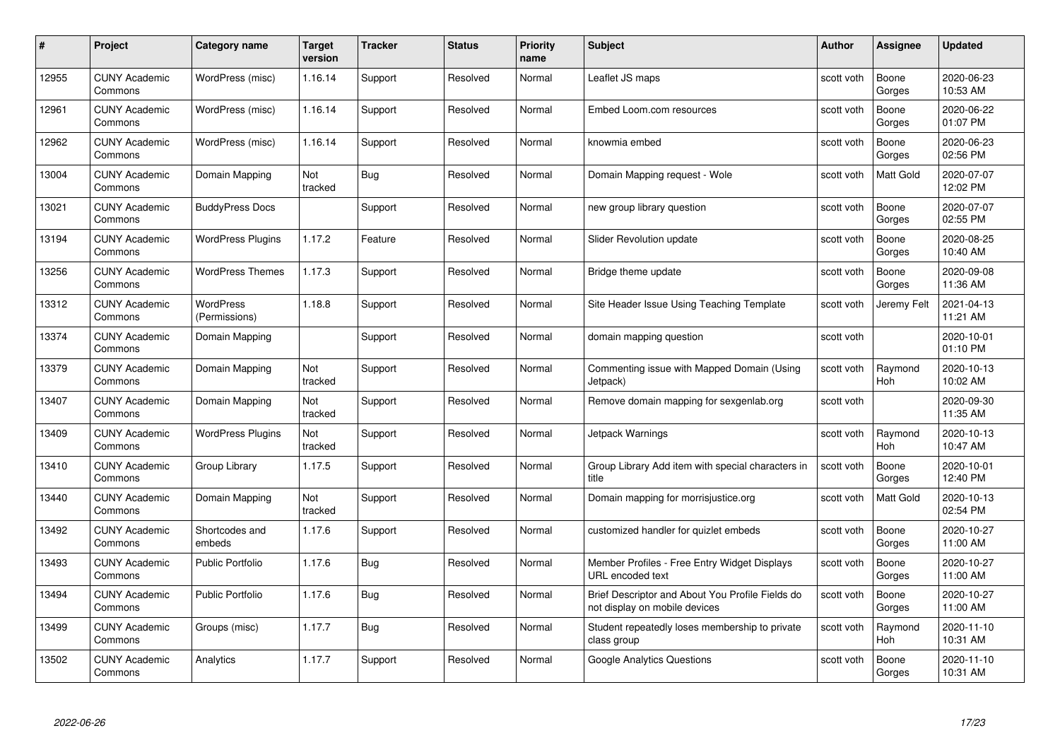| #     | Project                         | Category name                     | Target<br>version | <b>Tracker</b> | <b>Status</b> | <b>Priority</b><br>name | <b>Subject</b>                                                                    | <b>Author</b> | <b>Assignee</b>       | <b>Updated</b>         |
|-------|---------------------------------|-----------------------------------|-------------------|----------------|---------------|-------------------------|-----------------------------------------------------------------------------------|---------------|-----------------------|------------------------|
| 12955 | <b>CUNY Academic</b><br>Commons | WordPress (misc)                  | 1.16.14           | Support        | Resolved      | Normal                  | Leaflet JS maps                                                                   | scott voth    | Boone<br>Gorges       | 2020-06-23<br>10:53 AM |
| 12961 | <b>CUNY Academic</b><br>Commons | WordPress (misc)                  | 1.16.14           | Support        | Resolved      | Normal                  | Embed Loom.com resources                                                          | scott voth    | Boone<br>Gorges       | 2020-06-22<br>01:07 PM |
| 12962 | <b>CUNY Academic</b><br>Commons | WordPress (misc)                  | 1.16.14           | Support        | Resolved      | Normal                  | knowmia embed                                                                     | scott voth    | Boone<br>Gorges       | 2020-06-23<br>02:56 PM |
| 13004 | <b>CUNY Academic</b><br>Commons | Domain Mapping                    | Not<br>tracked    | Bug            | Resolved      | Normal                  | Domain Mapping request - Wole                                                     | scott voth    | Matt Gold             | 2020-07-07<br>12:02 PM |
| 13021 | <b>CUNY Academic</b><br>Commons | <b>BuddyPress Docs</b>            |                   | Support        | Resolved      | Normal                  | new group library question                                                        | scott voth    | Boone<br>Gorges       | 2020-07-07<br>02:55 PM |
| 13194 | <b>CUNY Academic</b><br>Commons | <b>WordPress Plugins</b>          | 1.17.2            | Feature        | Resolved      | Normal                  | Slider Revolution update                                                          | scott voth    | Boone<br>Gorges       | 2020-08-25<br>10:40 AM |
| 13256 | <b>CUNY Academic</b><br>Commons | <b>WordPress Themes</b>           | 1.17.3            | Support        | Resolved      | Normal                  | Bridge theme update                                                               | scott voth    | Boone<br>Gorges       | 2020-09-08<br>11:36 AM |
| 13312 | <b>CUNY Academic</b><br>Commons | <b>WordPress</b><br>(Permissions) | 1.18.8            | Support        | Resolved      | Normal                  | Site Header Issue Using Teaching Template                                         | scott voth    | Jeremy Felt           | 2021-04-13<br>11:21 AM |
| 13374 | <b>CUNY Academic</b><br>Commons | Domain Mapping                    |                   | Support        | Resolved      | Normal                  | domain mapping question                                                           | scott voth    |                       | 2020-10-01<br>01:10 PM |
| 13379 | <b>CUNY Academic</b><br>Commons | Domain Mapping                    | Not<br>tracked    | Support        | Resolved      | Normal                  | Commenting issue with Mapped Domain (Using<br>Jetpack)                            | scott voth    | Raymond<br>Hoh        | 2020-10-13<br>10:02 AM |
| 13407 | <b>CUNY Academic</b><br>Commons | Domain Mapping                    | Not<br>tracked    | Support        | Resolved      | Normal                  | Remove domain mapping for sexgenlab.org                                           | scott voth    |                       | 2020-09-30<br>11:35 AM |
| 13409 | <b>CUNY Academic</b><br>Commons | <b>WordPress Plugins</b>          | Not<br>tracked    | Support        | Resolved      | Normal                  | Jetpack Warnings                                                                  | scott voth    | Raymond<br><b>Hoh</b> | 2020-10-13<br>10:47 AM |
| 13410 | <b>CUNY Academic</b><br>Commons | Group Library                     | 1.17.5            | Support        | Resolved      | Normal                  | Group Library Add item with special characters in<br>title                        | scott voth    | Boone<br>Gorges       | 2020-10-01<br>12:40 PM |
| 13440 | <b>CUNY Academic</b><br>Commons | Domain Mapping                    | Not<br>tracked    | Support        | Resolved      | Normal                  | Domain mapping for morrisjustice.org                                              | scott voth    | Matt Gold             | 2020-10-13<br>02:54 PM |
| 13492 | <b>CUNY Academic</b><br>Commons | Shortcodes and<br>embeds          | 1.17.6            | Support        | Resolved      | Normal                  | customized handler for quizlet embeds                                             | scott voth    | Boone<br>Gorges       | 2020-10-27<br>11:00 AM |
| 13493 | <b>CUNY Academic</b><br>Commons | <b>Public Portfolio</b>           | 1.17.6            | <b>Bug</b>     | Resolved      | Normal                  | Member Profiles - Free Entry Widget Displays<br>URL encoded text                  | scott voth    | Boone<br>Gorges       | 2020-10-27<br>11:00 AM |
| 13494 | <b>CUNY Academic</b><br>Commons | <b>Public Portfolio</b>           | 1.17.6            | Bug            | Resolved      | Normal                  | Brief Descriptor and About You Profile Fields do<br>not display on mobile devices | scott voth    | Boone<br>Gorges       | 2020-10-27<br>11:00 AM |
| 13499 | <b>CUNY Academic</b><br>Commons | Groups (misc)                     | 1.17.7            | <b>Bug</b>     | Resolved      | Normal                  | Student repeatedly loses membership to private<br>class group                     | scott voth    | Raymond<br><b>Hoh</b> | 2020-11-10<br>10:31 AM |
| 13502 | <b>CUNY Academic</b><br>Commons | Analytics                         | 1.17.7            | Support        | Resolved      | Normal                  | <b>Google Analytics Questions</b>                                                 | scott voth    | Boone<br>Gorges       | 2020-11-10<br>10:31 AM |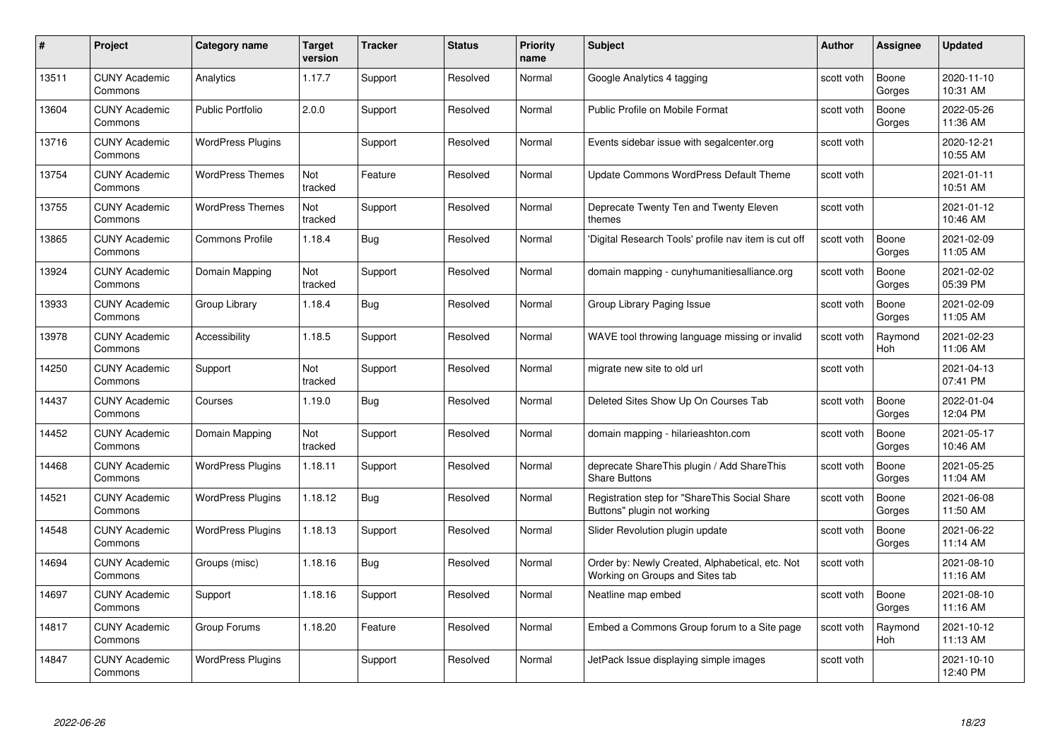| #     | Project                         | <b>Category name</b>     | Target<br>version | <b>Tracker</b> | <b>Status</b> | <b>Priority</b><br>name | <b>Subject</b>                                                                     | <b>Author</b> | <b>Assignee</b> | <b>Updated</b>         |
|-------|---------------------------------|--------------------------|-------------------|----------------|---------------|-------------------------|------------------------------------------------------------------------------------|---------------|-----------------|------------------------|
| 13511 | <b>CUNY Academic</b><br>Commons | Analytics                | 1.17.7            | Support        | Resolved      | Normal                  | Google Analytics 4 tagging                                                         | scott voth    | Boone<br>Gorges | 2020-11-10<br>10:31 AM |
| 13604 | <b>CUNY Academic</b><br>Commons | Public Portfolio         | 2.0.0             | Support        | Resolved      | Normal                  | Public Profile on Mobile Format                                                    | scott voth    | Boone<br>Gorges | 2022-05-26<br>11:36 AM |
| 13716 | <b>CUNY Academic</b><br>Commons | <b>WordPress Plugins</b> |                   | Support        | Resolved      | Normal                  | Events sidebar issue with segalcenter.org                                          | scott voth    |                 | 2020-12-21<br>10:55 AM |
| 13754 | <b>CUNY Academic</b><br>Commons | <b>WordPress Themes</b>  | Not<br>tracked    | Feature        | Resolved      | Normal                  | Update Commons WordPress Default Theme                                             | scott voth    |                 | 2021-01-11<br>10:51 AM |
| 13755 | <b>CUNY Academic</b><br>Commons | <b>WordPress Themes</b>  | Not<br>tracked    | Support        | Resolved      | Normal                  | Deprecate Twenty Ten and Twenty Eleven<br>themes                                   | scott voth    |                 | 2021-01-12<br>10:46 AM |
| 13865 | <b>CUNY Academic</b><br>Commons | <b>Commons Profile</b>   | 1.18.4            | Bug            | Resolved      | Normal                  | 'Digital Research Tools' profile nav item is cut off                               | scott voth    | Boone<br>Gorges | 2021-02-09<br>11:05 AM |
| 13924 | <b>CUNY Academic</b><br>Commons | Domain Mapping           | Not<br>tracked    | Support        | Resolved      | Normal                  | domain mapping - cunyhumanitiesalliance.org                                        | scott voth    | Boone<br>Gorges | 2021-02-02<br>05:39 PM |
| 13933 | <b>CUNY Academic</b><br>Commons | Group Library            | 1.18.4            | <b>Bug</b>     | Resolved      | Normal                  | Group Library Paging Issue                                                         | scott voth    | Boone<br>Gorges | 2021-02-09<br>11:05 AM |
| 13978 | <b>CUNY Academic</b><br>Commons | Accessibility            | 1.18.5            | Support        | Resolved      | Normal                  | WAVE tool throwing language missing or invalid                                     | scott voth    | Raymond<br>Hoh  | 2021-02-23<br>11:06 AM |
| 14250 | <b>CUNY Academic</b><br>Commons | Support                  | Not<br>tracked    | Support        | Resolved      | Normal                  | migrate new site to old url                                                        | scott voth    |                 | 2021-04-13<br>07:41 PM |
| 14437 | CUNY Academic<br>Commons        | Courses                  | 1.19.0            | Bug            | Resolved      | Normal                  | Deleted Sites Show Up On Courses Tab                                               | scott voth    | Boone<br>Gorges | 2022-01-04<br>12:04 PM |
| 14452 | <b>CUNY Academic</b><br>Commons | Domain Mapping           | Not<br>tracked    | Support        | Resolved      | Normal                  | domain mapping - hilarieashton.com                                                 | scott voth    | Boone<br>Gorges | 2021-05-17<br>10:46 AM |
| 14468 | <b>CUNY Academic</b><br>Commons | <b>WordPress Plugins</b> | 1.18.11           | Support        | Resolved      | Normal                  | deprecate ShareThis plugin / Add ShareThis<br><b>Share Buttons</b>                 | scott voth    | Boone<br>Gorges | 2021-05-25<br>11:04 AM |
| 14521 | <b>CUNY Academic</b><br>Commons | <b>WordPress Plugins</b> | 1.18.12           | <b>Bug</b>     | Resolved      | Normal                  | Registration step for "ShareThis Social Share<br>Buttons" plugin not working       | scott voth    | Boone<br>Gorges | 2021-06-08<br>11:50 AM |
| 14548 | <b>CUNY Academic</b><br>Commons | <b>WordPress Plugins</b> | 1.18.13           | Support        | Resolved      | Normal                  | Slider Revolution plugin update                                                    | scott voth    | Boone<br>Gorges | 2021-06-22<br>11:14 AM |
| 14694 | <b>CUNY Academic</b><br>Commons | Groups (misc)            | 1.18.16           | Bug            | Resolved      | Normal                  | Order by: Newly Created, Alphabetical, etc. Not<br>Working on Groups and Sites tab | scott voth    |                 | 2021-08-10<br>11:16 AM |
| 14697 | <b>CUNY Academic</b><br>Commons | Support                  | 1.18.16           | Support        | Resolved      | Normal                  | Neatline map embed                                                                 | scott voth    | Boone<br>Gorges | 2021-08-10<br>11:16 AM |
| 14817 | <b>CUNY Academic</b><br>Commons | Group Forums             | 1.18.20           | Feature        | Resolved      | Normal                  | Embed a Commons Group forum to a Site page                                         | scott voth    | Raymond<br>Hoh  | 2021-10-12<br>11:13 AM |
| 14847 | CUNY Academic<br>Commons        | <b>WordPress Plugins</b> |                   | Support        | Resolved      | Normal                  | JetPack Issue displaying simple images                                             | scott voth    |                 | 2021-10-10<br>12:40 PM |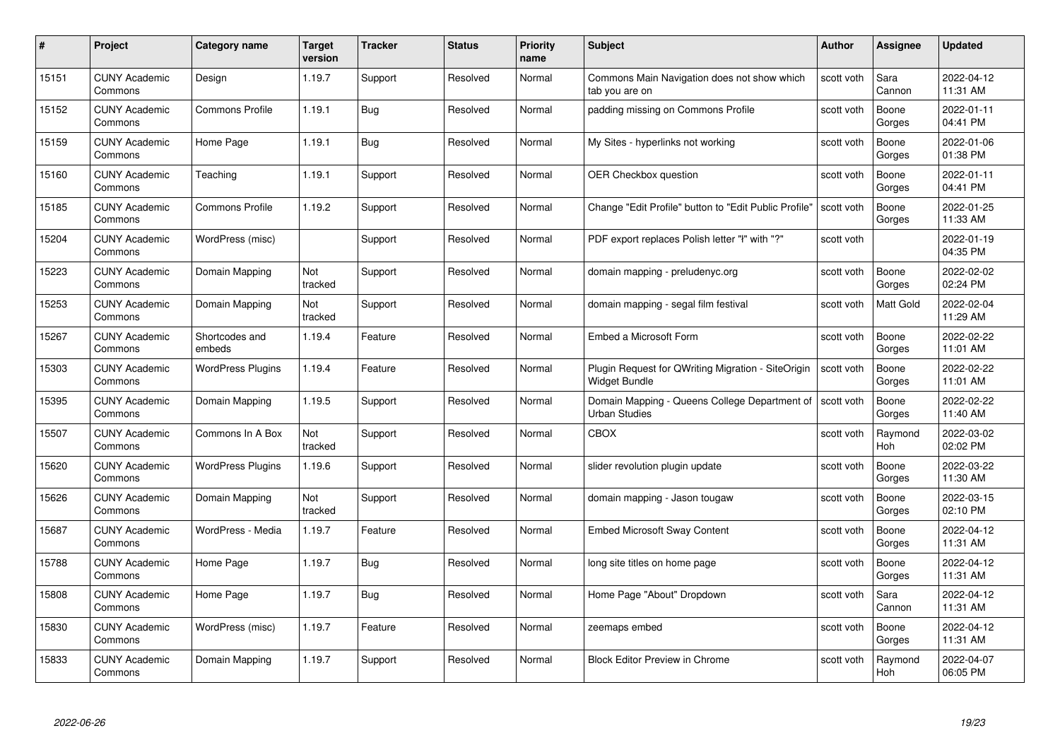|       | Project                         | <b>Category name</b>     | Target<br>version | <b>Tracker</b> | <b>Status</b> | <b>Priority</b><br>name | <b>Subject</b>                                                        | <b>Author</b> | <b>Assignee</b>       | <b>Updated</b>         |
|-------|---------------------------------|--------------------------|-------------------|----------------|---------------|-------------------------|-----------------------------------------------------------------------|---------------|-----------------------|------------------------|
| 15151 | <b>CUNY Academic</b><br>Commons | Design                   | 1.19.7            | Support        | Resolved      | Normal                  | Commons Main Navigation does not show which<br>tab you are on         | scott voth    | Sara<br>Cannon        | 2022-04-12<br>11:31 AM |
| 15152 | <b>CUNY Academic</b><br>Commons | <b>Commons Profile</b>   | 1.19.1            | Bug            | Resolved      | Normal                  | padding missing on Commons Profile                                    | scott voth    | Boone<br>Gorges       | 2022-01-11<br>04:41 PM |
| 15159 | <b>CUNY Academic</b><br>Commons | Home Page                | 1.19.1            | Bug            | Resolved      | Normal                  | My Sites - hyperlinks not working                                     | scott voth    | Boone<br>Gorges       | 2022-01-06<br>01:38 PM |
| 15160 | <b>CUNY Academic</b><br>Commons | Teaching                 | 1.19.1            | Support        | Resolved      | Normal                  | <b>OER Checkbox question</b>                                          | scott voth    | Boone<br>Gorges       | 2022-01-11<br>04:41 PM |
| 15185 | <b>CUNY Academic</b><br>Commons | <b>Commons Profile</b>   | 1.19.2            | Support        | Resolved      | Normal                  | Change "Edit Profile" button to "Edit Public Profile"                 | scott voth    | Boone<br>Gorges       | 2022-01-25<br>11:33 AM |
| 15204 | <b>CUNY Academic</b><br>Commons | WordPress (misc)         |                   | Support        | Resolved      | Normal                  | PDF export replaces Polish letter "ł" with "?"                        | scott voth    |                       | 2022-01-19<br>04:35 PM |
| 15223 | <b>CUNY Academic</b><br>Commons | Domain Mapping           | Not<br>tracked    | Support        | Resolved      | Normal                  | domain mapping - preludenyc.org                                       | scott voth    | Boone<br>Gorges       | 2022-02-02<br>02:24 PM |
| 15253 | <b>CUNY Academic</b><br>Commons | Domain Mapping           | Not<br>tracked    | Support        | Resolved      | Normal                  | domain mapping - segal film festival                                  | scott voth    | <b>Matt Gold</b>      | 2022-02-04<br>11:29 AM |
| 15267 | <b>CUNY Academic</b><br>Commons | Shortcodes and<br>embeds | 1.19.4            | Feature        | Resolved      | Normal                  | Embed a Microsoft Form                                                | scott voth    | Boone<br>Gorges       | 2022-02-22<br>11:01 AM |
| 15303 | <b>CUNY Academic</b><br>Commons | <b>WordPress Plugins</b> | 1.19.4            | Feature        | Resolved      | Normal                  | Plugin Request for QWriting Migration - SiteOrigin<br>Widget Bundle   | scott voth    | Boone<br>Gorges       | 2022-02-22<br>11:01 AM |
| 15395 | <b>CUNY Academic</b><br>Commons | Domain Mapping           | 1.19.5            | Support        | Resolved      | Normal                  | Domain Mapping - Queens College Department of<br><b>Urban Studies</b> | scott voth    | Boone<br>Gorges       | 2022-02-22<br>11:40 AM |
| 15507 | <b>CUNY Academic</b><br>Commons | Commons In A Box         | Not<br>tracked    | Support        | Resolved      | Normal                  | CBOX                                                                  | scott voth    | Raymond<br><b>Hoh</b> | 2022-03-02<br>02:02 PM |
| 15620 | <b>CUNY Academic</b><br>Commons | <b>WordPress Plugins</b> | 1.19.6            | Support        | Resolved      | Normal                  | slider revolution plugin update                                       | scott voth    | Boone<br>Gorges       | 2022-03-22<br>11:30 AM |
| 15626 | <b>CUNY Academic</b><br>Commons | Domain Mapping           | Not<br>tracked    | Support        | Resolved      | Normal                  | domain mapping - Jason tougaw                                         | scott voth    | Boone<br>Gorges       | 2022-03-15<br>02:10 PM |
| 15687 | <b>CUNY Academic</b><br>Commons | WordPress - Media        | 1.19.7            | Feature        | Resolved      | Normal                  | <b>Embed Microsoft Sway Content</b>                                   | scott voth    | Boone<br>Gorges       | 2022-04-12<br>11:31 AM |
| 15788 | <b>CUNY Academic</b><br>Commons | Home Page                | 1.19.7            | <b>Bug</b>     | Resolved      | Normal                  | long site titles on home page                                         | scott voth    | Boone<br>Gorges       | 2022-04-12<br>11:31 AM |
| 15808 | <b>CUNY Academic</b><br>Commons | Home Page                | 1.19.7            | <b>Bug</b>     | Resolved      | Normal                  | Home Page "About" Dropdown                                            | scott voth    | Sara<br>Cannon        | 2022-04-12<br>11:31 AM |
| 15830 | <b>CUNY Academic</b><br>Commons | WordPress (misc)         | 1.19.7            | Feature        | Resolved      | Normal                  | zeemaps embed                                                         | scott voth    | Boone<br>Gorges       | 2022-04-12<br>11:31 AM |
| 15833 | CUNY Academic<br>Commons        | Domain Mapping           | 1.19.7            | Support        | Resolved      | Normal                  | <b>Block Editor Preview in Chrome</b>                                 | scott voth    | Raymond<br>Hoh        | 2022-04-07<br>06:05 PM |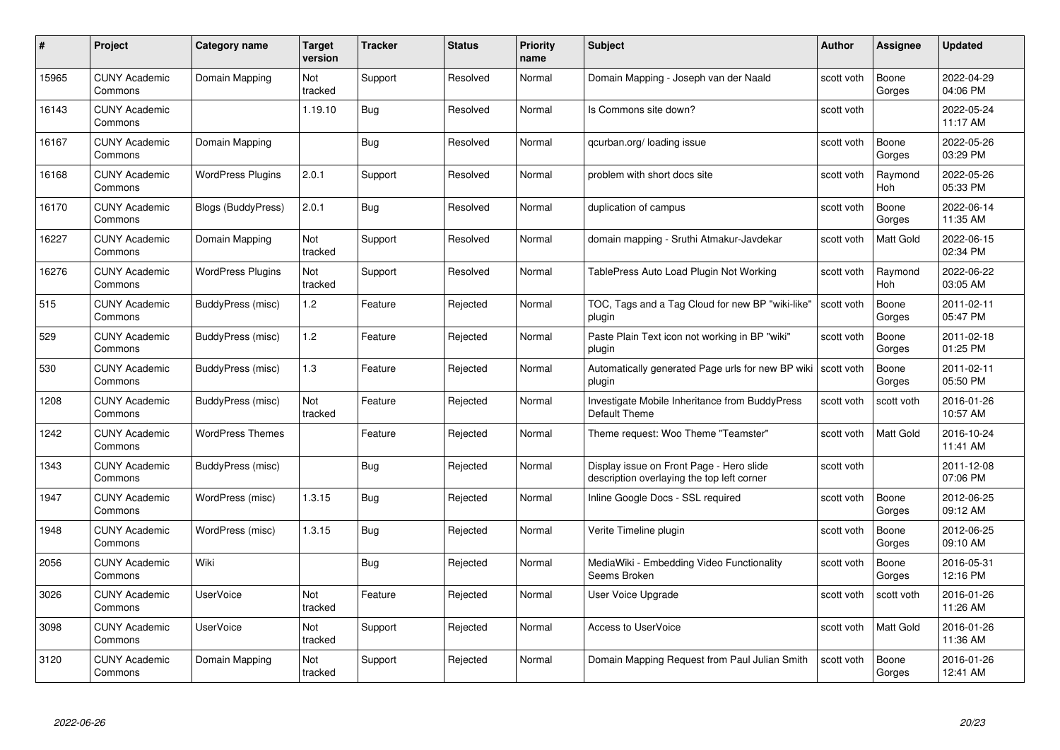| #     | Project                         | <b>Category name</b>     | Target<br>version | <b>Tracker</b> | <b>Status</b> | <b>Priority</b><br>name | <b>Subject</b>                                                                         | <b>Author</b> | <b>Assignee</b> | <b>Updated</b>         |
|-------|---------------------------------|--------------------------|-------------------|----------------|---------------|-------------------------|----------------------------------------------------------------------------------------|---------------|-----------------|------------------------|
| 15965 | <b>CUNY Academic</b><br>Commons | Domain Mapping           | Not<br>tracked    | Support        | Resolved      | Normal                  | Domain Mapping - Joseph van der Naald                                                  | scott voth    | Boone<br>Gorges | 2022-04-29<br>04:06 PM |
| 16143 | <b>CUNY Academic</b><br>Commons |                          | 1.19.10           | <b>Bug</b>     | Resolved      | Normal                  | Is Commons site down?                                                                  | scott voth    |                 | 2022-05-24<br>11:17 AM |
| 16167 | <b>CUNY Academic</b><br>Commons | Domain Mapping           |                   | <b>Bug</b>     | Resolved      | Normal                  | qcurban.org/loading issue                                                              | scott voth    | Boone<br>Gorges | 2022-05-26<br>03:29 PM |
| 16168 | <b>CUNY Academic</b><br>Commons | <b>WordPress Plugins</b> | 2.0.1             | Support        | Resolved      | Normal                  | problem with short docs site                                                           | scott voth    | Raymond<br>Hoh  | 2022-05-26<br>05:33 PM |
| 16170 | <b>CUNY Academic</b><br>Commons | Blogs (BuddyPress)       | 2.0.1             | <b>Bug</b>     | Resolved      | Normal                  | duplication of campus                                                                  | scott voth    | Boone<br>Gorges | 2022-06-14<br>11:35 AM |
| 16227 | <b>CUNY Academic</b><br>Commons | Domain Mapping           | Not<br>tracked    | Support        | Resolved      | Normal                  | domain mapping - Sruthi Atmakur-Javdekar                                               | scott voth    | Matt Gold       | 2022-06-15<br>02:34 PM |
| 16276 | <b>CUNY Academic</b><br>Commons | <b>WordPress Plugins</b> | Not<br>tracked    | Support        | Resolved      | Normal                  | TablePress Auto Load Plugin Not Working                                                | scott voth    | Raymond<br>Hoh  | 2022-06-22<br>03:05 AM |
| 515   | <b>CUNY Academic</b><br>Commons | BuddyPress (misc)        | 1.2               | Feature        | Rejected      | Normal                  | TOC, Tags and a Tag Cloud for new BP "wiki-like"<br>plugin                             | scott voth    | Boone<br>Gorges | 2011-02-11<br>05:47 PM |
| 529   | <b>CUNY Academic</b><br>Commons | BuddyPress (misc)        | 1.2               | Feature        | Rejected      | Normal                  | Paste Plain Text icon not working in BP "wiki"<br>plugin                               | scott voth    | Boone<br>Gorges | 2011-02-18<br>01:25 PM |
| 530   | <b>CUNY Academic</b><br>Commons | BuddyPress (misc)        | 1.3               | Feature        | Rejected      | Normal                  | Automatically generated Page urls for new BP wiki<br>plugin                            | scott voth    | Boone<br>Gorges | 2011-02-11<br>05:50 PM |
| 1208  | CUNY Academic<br>Commons        | BuddyPress (misc)        | Not<br>tracked    | Feature        | Rejected      | Normal                  | Investigate Mobile Inheritance from BuddyPress<br>Default Theme                        | scott voth    | scott voth      | 2016-01-26<br>10:57 AM |
| 1242  | <b>CUNY Academic</b><br>Commons | <b>WordPress Themes</b>  |                   | Feature        | Rejected      | Normal                  | Theme request: Woo Theme "Teamster"                                                    | scott voth    | Matt Gold       | 2016-10-24<br>11:41 AM |
| 1343  | <b>CUNY Academic</b><br>Commons | BuddyPress (misc)        |                   | Bug            | Rejected      | Normal                  | Display issue on Front Page - Hero slide<br>description overlaying the top left corner | scott voth    |                 | 2011-12-08<br>07:06 PM |
| 1947  | <b>CUNY Academic</b><br>Commons | WordPress (misc)         | 1.3.15            | <b>Bug</b>     | Rejected      | Normal                  | Inline Google Docs - SSL required                                                      | scott voth    | Boone<br>Gorges | 2012-06-25<br>09:12 AM |
| 1948  | <b>CUNY Academic</b><br>Commons | WordPress (misc)         | 1.3.15            | Bug            | Rejected      | Normal                  | Verite Timeline plugin                                                                 | scott voth    | Boone<br>Gorges | 2012-06-25<br>09:10 AM |
| 2056  | <b>CUNY Academic</b><br>Commons | Wiki                     |                   | Bug            | Rejected      | Normal                  | MediaWiki - Embedding Video Functionality<br>Seems Broken                              | scott voth    | Boone<br>Gorges | 2016-05-31<br>12:16 PM |
| 3026  | <b>CUNY Academic</b><br>Commons | <b>UserVoice</b>         | Not<br>tracked    | Feature        | Rejected      | Normal                  | User Voice Upgrade                                                                     | scott voth    | scott voth      | 2016-01-26<br>11:26 AM |
| 3098  | <b>CUNY Academic</b><br>Commons | <b>UserVoice</b>         | Not<br>tracked    | Support        | Rejected      | Normal                  | <b>Access to UserVoice</b>                                                             | scott voth    | Matt Gold       | 2016-01-26<br>11:36 AM |
| 3120  | CUNY Academic<br>Commons        | Domain Mapping           | Not<br>tracked    | Support        | Rejected      | Normal                  | Domain Mapping Request from Paul Julian Smith                                          | scott voth    | Boone<br>Gorges | 2016-01-26<br>12:41 AM |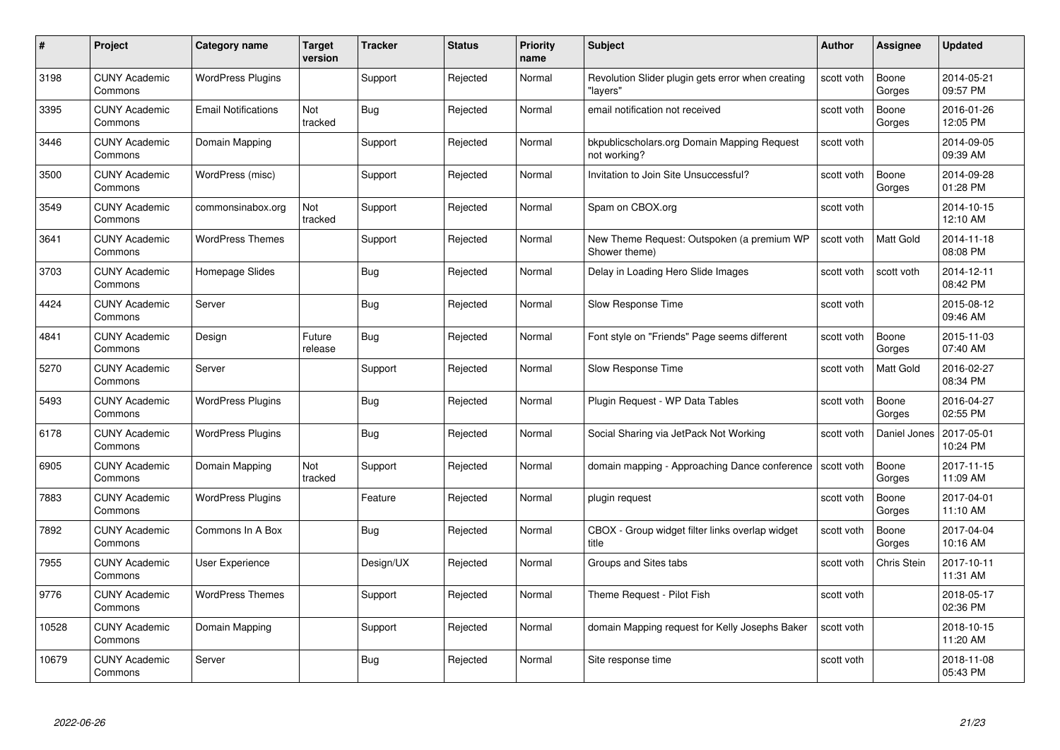| #     | Project                         | <b>Category name</b>       | Target<br>version | <b>Tracker</b> | <b>Status</b> | <b>Priority</b><br>name | <b>Subject</b>                                                | <b>Author</b> | <b>Assignee</b> | <b>Updated</b>         |
|-------|---------------------------------|----------------------------|-------------------|----------------|---------------|-------------------------|---------------------------------------------------------------|---------------|-----------------|------------------------|
| 3198  | <b>CUNY Academic</b><br>Commons | <b>WordPress Plugins</b>   |                   | Support        | Rejected      | Normal                  | Revolution Slider plugin gets error when creating<br>"lavers' | scott voth    | Boone<br>Gorges | 2014-05-21<br>09:57 PM |
| 3395  | <b>CUNY Academic</b><br>Commons | <b>Email Notifications</b> | Not<br>tracked    | <b>Bug</b>     | Rejected      | Normal                  | email notification not received                               | scott voth    | Boone<br>Gorges | 2016-01-26<br>12:05 PM |
| 3446  | <b>CUNY Academic</b><br>Commons | Domain Mapping             |                   | Support        | Rejected      | Normal                  | bkpublicscholars.org Domain Mapping Request<br>not working?   | scott voth    |                 | 2014-09-05<br>09:39 AM |
| 3500  | <b>CUNY Academic</b><br>Commons | WordPress (misc)           |                   | Support        | Rejected      | Normal                  | Invitation to Join Site Unsuccessful?                         | scott voth    | Boone<br>Gorges | 2014-09-28<br>01:28 PM |
| 3549  | <b>CUNY Academic</b><br>Commons | commonsinabox.org          | Not<br>tracked    | Support        | Rejected      | Normal                  | Spam on CBOX.org                                              | scott voth    |                 | 2014-10-15<br>12:10 AM |
| 3641  | <b>CUNY Academic</b><br>Commons | <b>WordPress Themes</b>    |                   | Support        | Rejected      | Normal                  | New Theme Request: Outspoken (a premium WP<br>Shower theme)   | scott voth    | Matt Gold       | 2014-11-18<br>08:08 PM |
| 3703  | <b>CUNY Academic</b><br>Commons | Homepage Slides            |                   | Bug            | Rejected      | Normal                  | Delay in Loading Hero Slide Images                            | scott voth    | scott voth      | 2014-12-11<br>08:42 PM |
| 4424  | <b>CUNY Academic</b><br>Commons | Server                     |                   | Bug            | Rejected      | Normal                  | Slow Response Time                                            | scott voth    |                 | 2015-08-12<br>09:46 AM |
| 4841  | <b>CUNY Academic</b><br>Commons | Design                     | Future<br>release | Bug            | Rejected      | Normal                  | Font style on "Friends" Page seems different                  | scott voth    | Boone<br>Gorges | 2015-11-03<br>07:40 AM |
| 5270  | <b>CUNY Academic</b><br>Commons | Server                     |                   | Support        | Rejected      | Normal                  | Slow Response Time                                            | scott voth    | Matt Gold       | 2016-02-27<br>08:34 PM |
| 5493  | CUNY Academic<br>Commons        | <b>WordPress Plugins</b>   |                   | Bug            | Rejected      | Normal                  | Plugin Request - WP Data Tables                               | scott voth    | Boone<br>Gorges | 2016-04-27<br>02:55 PM |
| 6178  | <b>CUNY Academic</b><br>Commons | <b>WordPress Plugins</b>   |                   | <b>Bug</b>     | Rejected      | Normal                  | Social Sharing via JetPack Not Working                        | scott voth    | Daniel Jones    | 2017-05-01<br>10:24 PM |
| 6905  | <b>CUNY Academic</b><br>Commons | Domain Mapping             | Not<br>tracked    | Support        | Rejected      | Normal                  | domain mapping - Approaching Dance conference                 | scott voth    | Boone<br>Gorges | 2017-11-15<br>11:09 AM |
| 7883  | <b>CUNY Academic</b><br>Commons | <b>WordPress Plugins</b>   |                   | Feature        | Rejected      | Normal                  | plugin request                                                | scott voth    | Boone<br>Gorges | 2017-04-01<br>11:10 AM |
| 7892  | <b>CUNY Academic</b><br>Commons | Commons In A Box           |                   | Bug            | Rejected      | Normal                  | CBOX - Group widget filter links overlap widget<br>title      | scott voth    | Boone<br>Gorges | 2017-04-04<br>10:16 AM |
| 7955  | <b>CUNY Academic</b><br>Commons | User Experience            |                   | Design/UX      | Rejected      | Normal                  | Groups and Sites tabs                                         | scott voth    | Chris Stein     | 2017-10-11<br>11:31 AM |
| 9776  | <b>CUNY Academic</b><br>Commons | <b>WordPress Themes</b>    |                   | Support        | Rejected      | Normal                  | Theme Request - Pilot Fish                                    | scott voth    |                 | 2018-05-17<br>02:36 PM |
| 10528 | <b>CUNY Academic</b><br>Commons | Domain Mapping             |                   | Support        | Rejected      | Normal                  | domain Mapping request for Kelly Josephs Baker                | scott voth    |                 | 2018-10-15<br>11:20 AM |
| 10679 | <b>CUNY Academic</b><br>Commons | Server                     |                   | <b>Bug</b>     | Rejected      | Normal                  | Site response time                                            | scott voth    |                 | 2018-11-08<br>05:43 PM |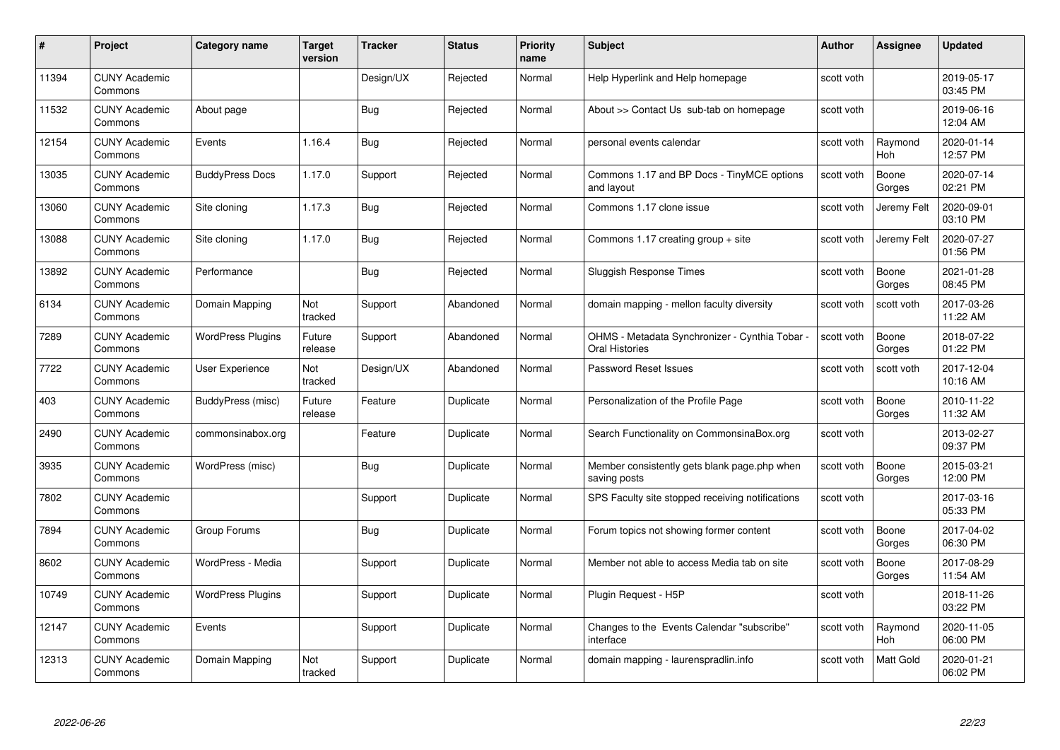| #     | Project                         | <b>Category name</b>     | Target<br>version | <b>Tracker</b> | <b>Status</b> | <b>Priority</b><br>name | <b>Subject</b>                                                   | <b>Author</b> | <b>Assignee</b> | <b>Updated</b>         |
|-------|---------------------------------|--------------------------|-------------------|----------------|---------------|-------------------------|------------------------------------------------------------------|---------------|-----------------|------------------------|
| 11394 | <b>CUNY Academic</b><br>Commons |                          |                   | Design/UX      | Rejected      | Normal                  | Help Hyperlink and Help homepage                                 | scott voth    |                 | 2019-05-17<br>03:45 PM |
| 11532 | <b>CUNY Academic</b><br>Commons | About page               |                   | Bug            | Rejected      | Normal                  | About >> Contact Us sub-tab on homepage                          | scott voth    |                 | 2019-06-16<br>12:04 AM |
| 12154 | <b>CUNY Academic</b><br>Commons | Events                   | 1.16.4            | <b>Bug</b>     | Rejected      | Normal                  | personal events calendar                                         | scott voth    | Raymond<br>Hoh  | 2020-01-14<br>12:57 PM |
| 13035 | <b>CUNY Academic</b><br>Commons | <b>BuddyPress Docs</b>   | 1.17.0            | Support        | Rejected      | Normal                  | Commons 1.17 and BP Docs - TinyMCE options<br>and layout         | scott voth    | Boone<br>Gorges | 2020-07-14<br>02:21 PM |
| 13060 | <b>CUNY Academic</b><br>Commons | Site cloning             | 1.17.3            | <b>Bug</b>     | Rejected      | Normal                  | Commons 1.17 clone issue                                         | scott voth    | Jeremy Felt     | 2020-09-01<br>03:10 PM |
| 13088 | <b>CUNY Academic</b><br>Commons | Site cloning             | 1.17.0            | Bug            | Rejected      | Normal                  | Commons 1.17 creating group + site                               | scott voth    | Jeremy Felt     | 2020-07-27<br>01:56 PM |
| 13892 | <b>CUNY Academic</b><br>Commons | Performance              |                   | <b>Bug</b>     | Rejected      | Normal                  | Sluggish Response Times                                          | scott voth    | Boone<br>Gorges | 2021-01-28<br>08:45 PM |
| 6134  | <b>CUNY Academic</b><br>Commons | Domain Mapping           | Not<br>tracked    | Support        | Abandoned     | Normal                  | domain mapping - mellon faculty diversity                        | scott voth    | scott voth      | 2017-03-26<br>11:22 AM |
| 7289  | <b>CUNY Academic</b><br>Commons | <b>WordPress Plugins</b> | Future<br>release | Support        | Abandoned     | Normal                  | OHMS - Metadata Synchronizer - Cynthia Tobar ·<br>Oral Histories | scott voth    | Boone<br>Gorges | 2018-07-22<br>01:22 PM |
| 7722  | <b>CUNY Academic</b><br>Commons | User Experience          | Not<br>tracked    | Design/UX      | Abandoned     | Normal                  | Password Reset Issues                                            | scott voth    | scott voth      | 2017-12-04<br>10:16 AM |
| 403   | CUNY Academic<br>Commons        | BuddyPress (misc)        | Future<br>release | Feature        | Duplicate     | Normal                  | Personalization of the Profile Page                              | scott voth    | Boone<br>Gorges | 2010-11-22<br>11:32 AM |
| 2490  | <b>CUNY Academic</b><br>Commons | commonsinabox.org        |                   | Feature        | Duplicate     | Normal                  | Search Functionality on CommonsinaBox.org                        | scott voth    |                 | 2013-02-27<br>09:37 PM |
| 3935  | <b>CUNY Academic</b><br>Commons | WordPress (misc)         |                   | <b>Bug</b>     | Duplicate     | Normal                  | Member consistently gets blank page.php when<br>saving posts     | scott voth    | Boone<br>Gorges | 2015-03-21<br>12:00 PM |
| 7802  | <b>CUNY Academic</b><br>Commons |                          |                   | Support        | Duplicate     | Normal                  | SPS Faculty site stopped receiving notifications                 | scott voth    |                 | 2017-03-16<br>05:33 PM |
| 7894  | <b>CUNY Academic</b><br>Commons | Group Forums             |                   | Bug            | Duplicate     | Normal                  | Forum topics not showing former content                          | scott voth    | Boone<br>Gorges | 2017-04-02<br>06:30 PM |
| 8602  | <b>CUNY Academic</b><br>Commons | WordPress - Media        |                   | Support        | Duplicate     | Normal                  | Member not able to access Media tab on site                      | scott voth    | Boone<br>Gorges | 2017-08-29<br>11:54 AM |
| 10749 | <b>CUNY Academic</b><br>Commons | <b>WordPress Plugins</b> |                   | Support        | Duplicate     | Normal                  | Plugin Request - H5P                                             | scott voth    |                 | 2018-11-26<br>03:22 PM |
| 12147 | <b>CUNY Academic</b><br>Commons | Events                   |                   | Support        | Duplicate     | Normal                  | Changes to the Events Calendar "subscribe"<br>interface          | scott voth    | Raymond<br>Hoh  | 2020-11-05<br>06:00 PM |
| 12313 | <b>CUNY Academic</b><br>Commons | Domain Mapping           | Not<br>tracked    | Support        | Duplicate     | Normal                  | domain mapping - laurenspradlin.info                             | scott voth    | Matt Gold       | 2020-01-21<br>06:02 PM |